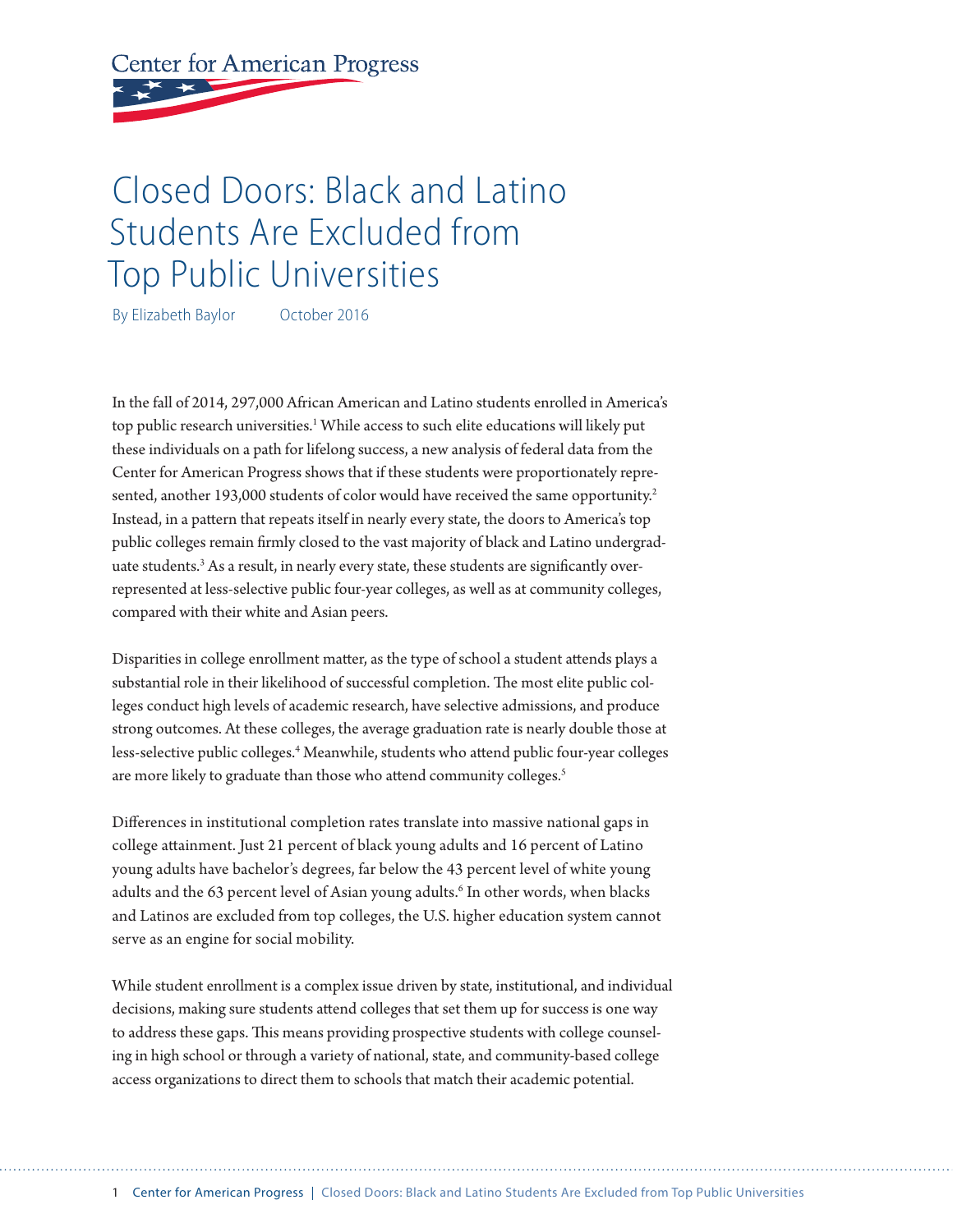**Center for American Progress** 

# Closed Doors: Black and Latino Students Are Excluded from Top Public Universities

By Elizabeth Baylor October 2016

In the fall of 2014, 297,000 African American and Latino students enrolled in America's top public research universities.<sup>1</sup> While access to such elite educations will likely put these individuals on a path for lifelong success, a new analysis of federal data from the Center for American Progress shows that if these students were proportionately represented, another 193,000 students of color would have received the same opportunity.<sup>2</sup> Instead, in a pattern that repeats itself in nearly every state, the doors to America's top public colleges remain firmly closed to the vast majority of black and Latino undergraduate students.<sup>3</sup> As a result, in nearly every state, these students are significantly overrepresented at less-selective public four-year colleges, as well as at community colleges, compared with their white and Asian peers.

Disparities in college enrollment matter, as the type of school a student attends plays a substantial role in their likelihood of successful completion. The most elite public colleges conduct high levels of academic research, have selective admissions, and produce strong outcomes. At these colleges, the average graduation rate is nearly double those at less-selective public colleges.<sup>4</sup> Meanwhile, students who attend public four-year colleges are more likely to graduate than those who attend community colleges.<sup>5</sup>

Differences in institutional completion rates translate into massive national gaps in college attainment. Just 21 percent of black young adults and 16 percent of Latino young adults have bachelor's degrees, far below the 43 percent level of white young adults and the 63 percent level of Asian young adults.<sup>6</sup> In other words, when blacks and Latinos are excluded from top colleges, the U.S. higher education system cannot serve as an engine for social mobility.

While student enrollment is a complex issue driven by state, institutional, and individual decisions, making sure students attend colleges that set them up for success is one way to address these gaps. This means providing prospective students with college counseling in high school or through a variety of national, state, and community-based college access organizations to direct them to schools that match their academic potential.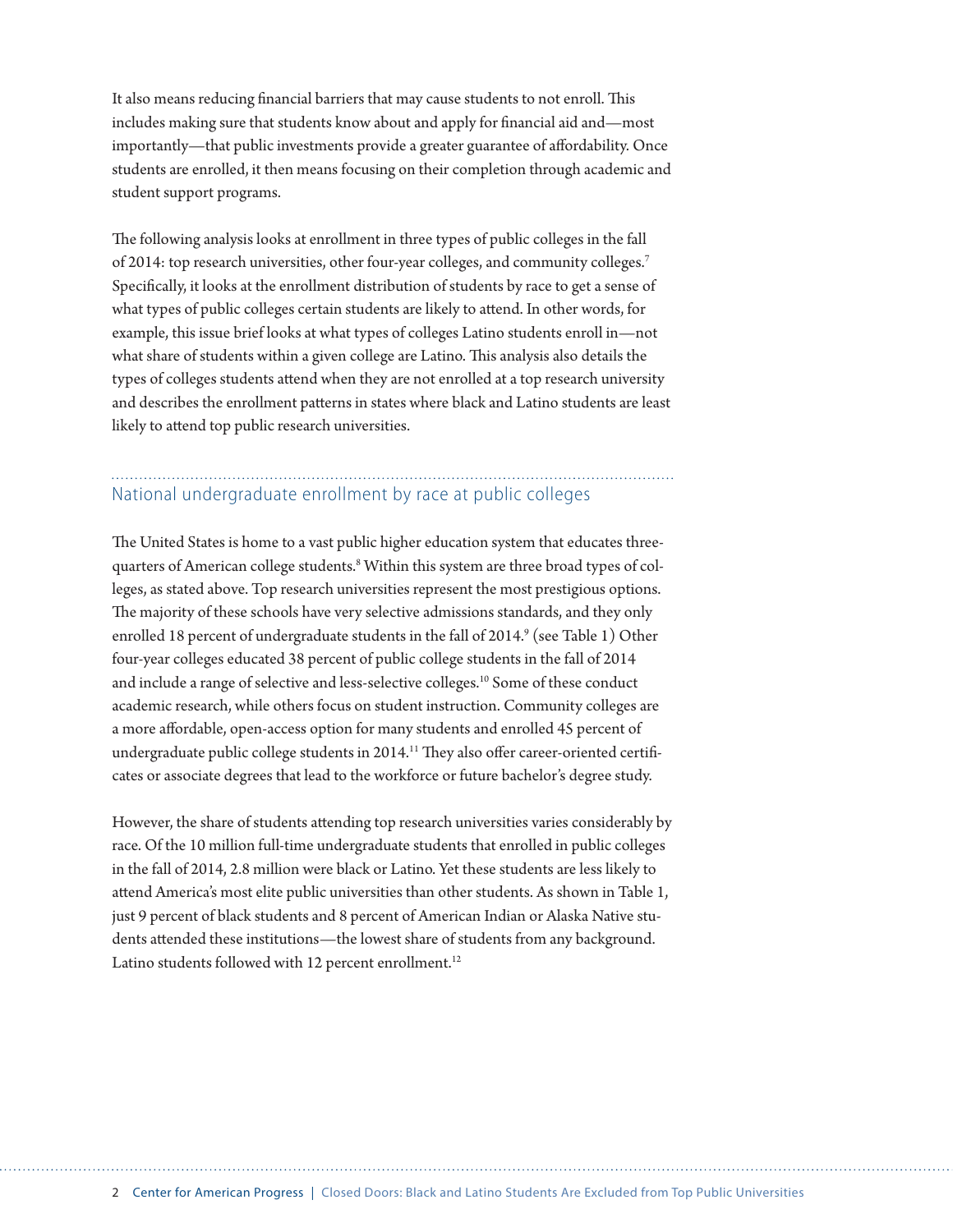It also means reducing financial barriers that may cause students to not enroll. This includes making sure that students know about and apply for financial aid and—most importantly—that public investments provide a greater guarantee of affordability. Once students are enrolled, it then means focusing on their completion through academic and student support programs.

The following analysis looks at enrollment in three types of public colleges in the fall of 2014: top research universities, other four-year colleges, and community colleges.7 Specifically, it looks at the enrollment distribution of students by race to get a sense of what types of public colleges certain students are likely to attend. In other words, for example, this issue brief looks at what types of colleges Latino students enroll in—not what share of students within a given college are Latino. This analysis also details the types of colleges students attend when they are not enrolled at a top research university and describes the enrollment patterns in states where black and Latino students are least likely to attend top public research universities.

## National undergraduate enrollment by race at public colleges

The United States is home to a vast public higher education system that educates threequarters of American college students.<sup>8</sup> Within this system are three broad types of colleges, as stated above. Top research universities represent the most prestigious options. The majority of these schools have very selective admissions standards, and they only enrolled 18 percent of undergraduate students in the fall of 2014. $^9$  (see Table 1) Other four-year colleges educated 38 percent of public college students in the fall of 2014 and include a range of selective and less-selective colleges.<sup>10</sup> Some of these conduct academic research, while others focus on student instruction. Community colleges are a more affordable, open-access option for many students and enrolled 45 percent of undergraduate public college students in 2014.<sup>11</sup> They also offer career-oriented certificates or associate degrees that lead to the workforce or future bachelor's degree study.

However, the share of students attending top research universities varies considerably by race. Of the 10 million full-time undergraduate students that enrolled in public colleges in the fall of 2014, 2.8 million were black or Latino. Yet these students are less likely to attend America's most elite public universities than other students. As shown in Table 1, just 9 percent of black students and 8 percent of American Indian or Alaska Native students attended these institutions—the lowest share of students from any background. Latino students followed with 12 percent enrollment.<sup>12</sup>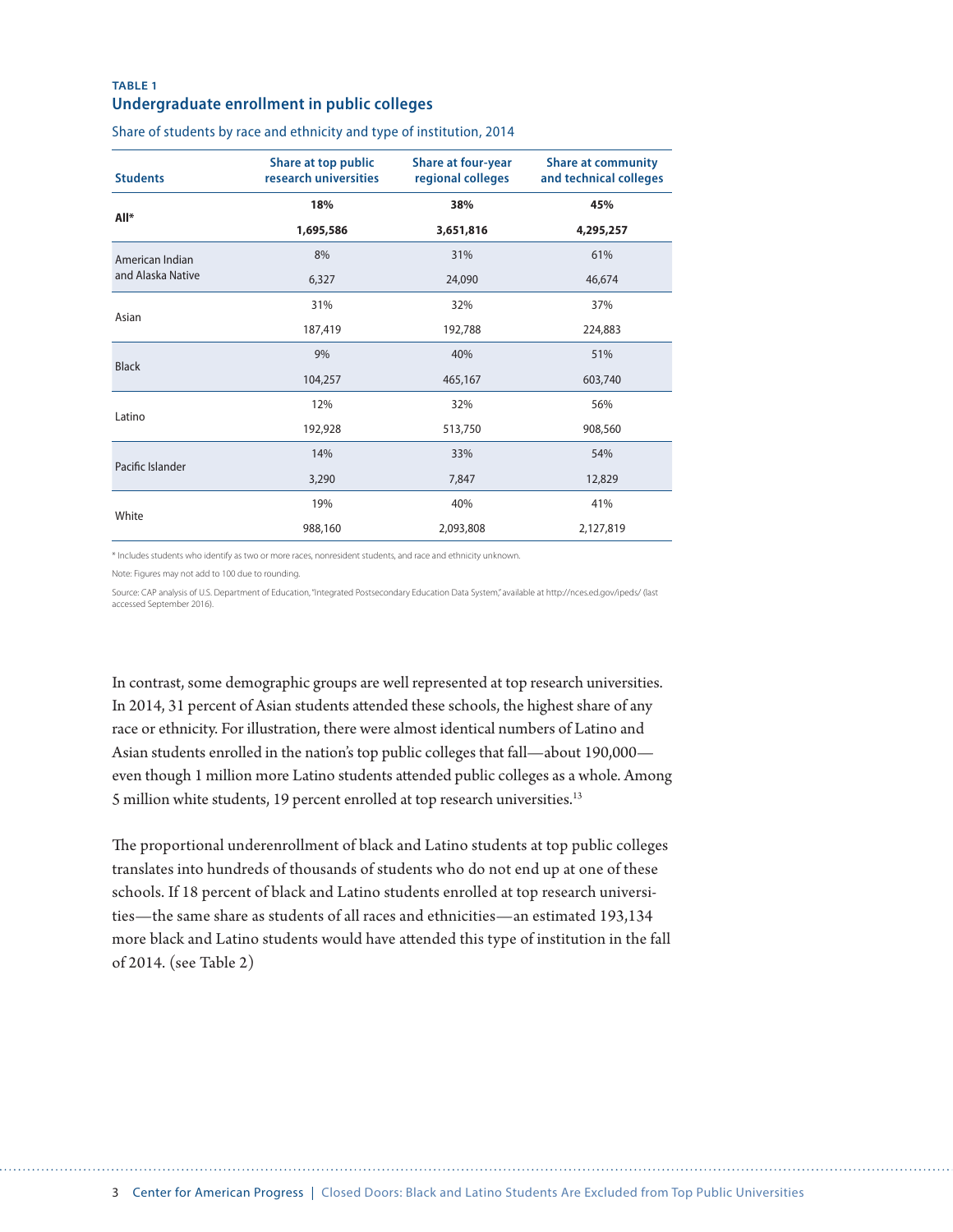### **TABLE 1 Undergraduate enrollment in public colleges**

| <b>Students</b>   | Share at top public<br>research universities | <b>Share at four-year</b><br>regional colleges | <b>Share at community</b><br>and technical colleges |
|-------------------|----------------------------------------------|------------------------------------------------|-----------------------------------------------------|
| All*              | 18%                                          | 38%                                            | 45%                                                 |
|                   | 1,695,586                                    | 3,651,816                                      | 4,295,257                                           |
| American Indian   | 8%                                           | 31%                                            | 61%                                                 |
| and Alaska Native | 6,327                                        | 24,090                                         | 46,674                                              |
| Asian             | 31%                                          | 32%                                            | 37%                                                 |
|                   | 187,419                                      | 192,788                                        | 224,883                                             |
| <b>Black</b>      | 9%                                           | 40%                                            | 51%                                                 |
|                   | 104,257                                      | 465,167                                        | 603,740                                             |
| Latino            | 12%                                          | 32%                                            | 56%                                                 |
|                   | 192,928                                      | 513,750                                        | 908,560                                             |
| Pacific Islander  | 14%                                          | 33%                                            | 54%                                                 |
|                   | 3,290                                        | 7,847                                          | 12,829                                              |
| White             | 19%                                          | 40%                                            | 41%                                                 |
|                   | 988,160                                      | 2,093,808                                      | 2,127,819                                           |

Share of students by race and ethnicity and type of institution, 2014

\* Includes students who identify as two or more races, nonresident students, and race and ethnicity unknown.

Note: Figures may not add to 100 due to rounding.

Source: CAP analysis of U.S. Department of Education, "Integrated Postsecondary Education Data System," available at http://nces.ed.gov/ipeds/ (last accessed September 2016).

In contrast, some demographic groups are well represented at top research universities. In 2014, 31 percent of Asian students attended these schools, the highest share of any race or ethnicity. For illustration, there were almost identical numbers of Latino and Asian students enrolled in the nation's top public colleges that fall—about 190,000 even though 1 million more Latino students attended public colleges as a whole. Among 5 million white students, 19 percent enrolled at top research universities.<sup>13</sup>

The proportional underenrollment of black and Latino students at top public colleges translates into hundreds of thousands of students who do not end up at one of these schools. If 18 percent of black and Latino students enrolled at top research universities—the same share as students of all races and ethnicities—an estimated 193,134 more black and Latino students would have attended this type of institution in the fall of 2014. (see Table 2)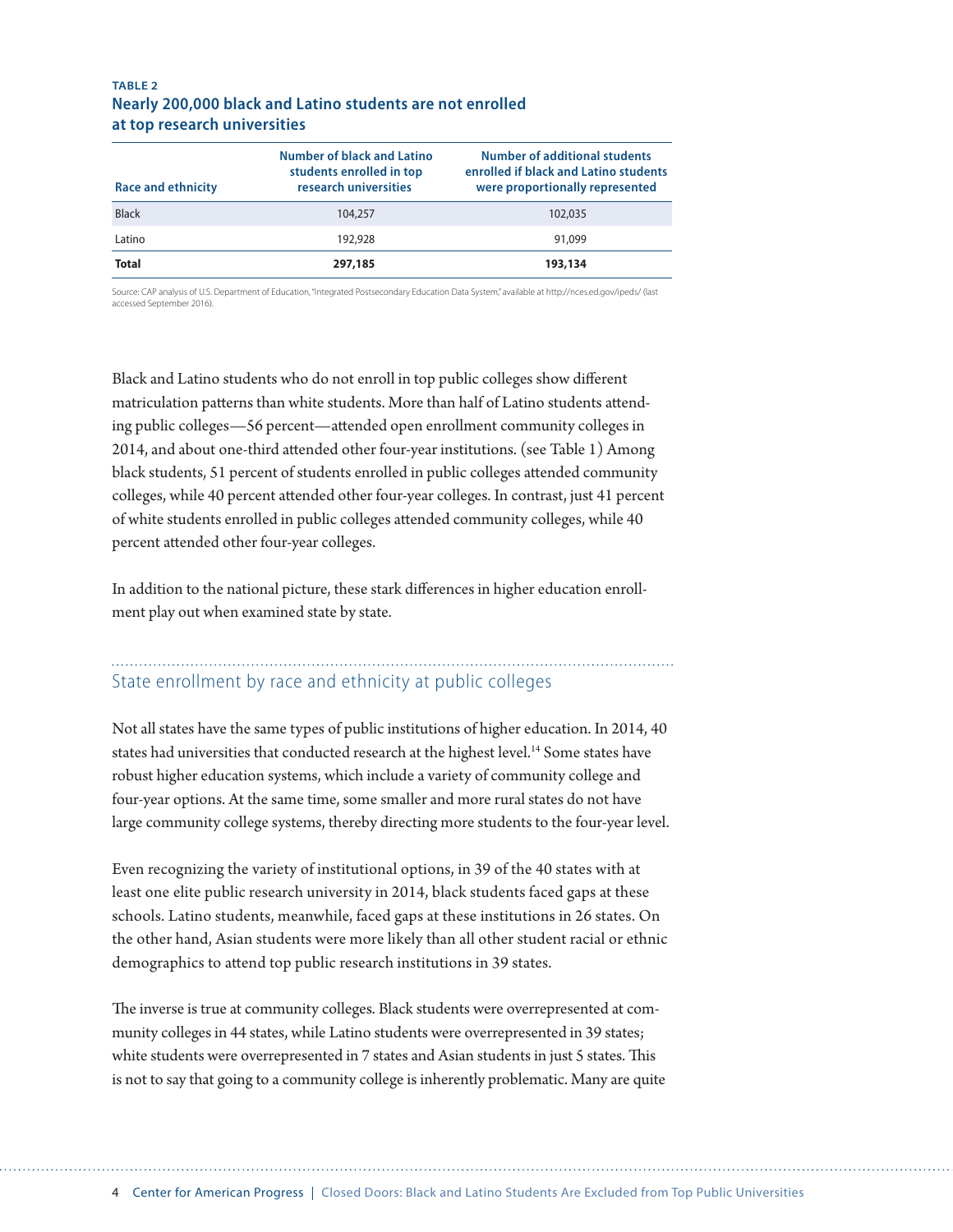#### **TABLE 2 Nearly 200,000 black and Latino students are not enrolled at top research universities**

| <b>Race and ethnicity</b> | Number of black and Latino<br>students enrolled in top<br>research universities | Number of additional students<br>enrolled if black and Latino students<br>were proportionally represented |
|---------------------------|---------------------------------------------------------------------------------|-----------------------------------------------------------------------------------------------------------|
| <b>Black</b>              | 104,257                                                                         | 102,035                                                                                                   |
| Latino                    | 192,928                                                                         | 91,099                                                                                                    |
| <b>Total</b>              | 297,185                                                                         | 193,134                                                                                                   |

Source: CAP analysis of U.S. Department of Education, "Integrated Postsecondary Education Data System," available at http://nces.ed.gov/ipeds/ (last accessed September 2016).

Black and Latino students who do not enroll in top public colleges show different matriculation patterns than white students. More than half of Latino students attending public colleges—56 percent—attended open enrollment community colleges in 2014, and about one-third attended other four-year institutions. (see Table 1) Among black students, 51 percent of students enrolled in public colleges attended community colleges, while 40 percent attended other four-year colleges. In contrast, just 41 percent of white students enrolled in public colleges attended community colleges, while 40 percent attended other four-year colleges.

In addition to the national picture, these stark differences in higher education enrollment play out when examined state by state.

### State enrollment by race and ethnicity at public colleges

Not all states have the same types of public institutions of higher education. In 2014, 40 states had universities that conducted research at the highest level.<sup>14</sup> Some states have robust higher education systems, which include a variety of community college and four-year options. At the same time, some smaller and more rural states do not have large community college systems, thereby directing more students to the four-year level.

Even recognizing the variety of institutional options, in 39 of the 40 states with at least one elite public research university in 2014, black students faced gaps at these schools. Latino students, meanwhile, faced gaps at these institutions in 26 states. On the other hand, Asian students were more likely than all other student racial or ethnic demographics to attend top public research institutions in 39 states.

The inverse is true at community colleges. Black students were overrepresented at community colleges in 44 states, while Latino students were overrepresented in 39 states; white students were overrepresented in 7 states and Asian students in just 5 states. This is not to say that going to a community college is inherently problematic. Many are quite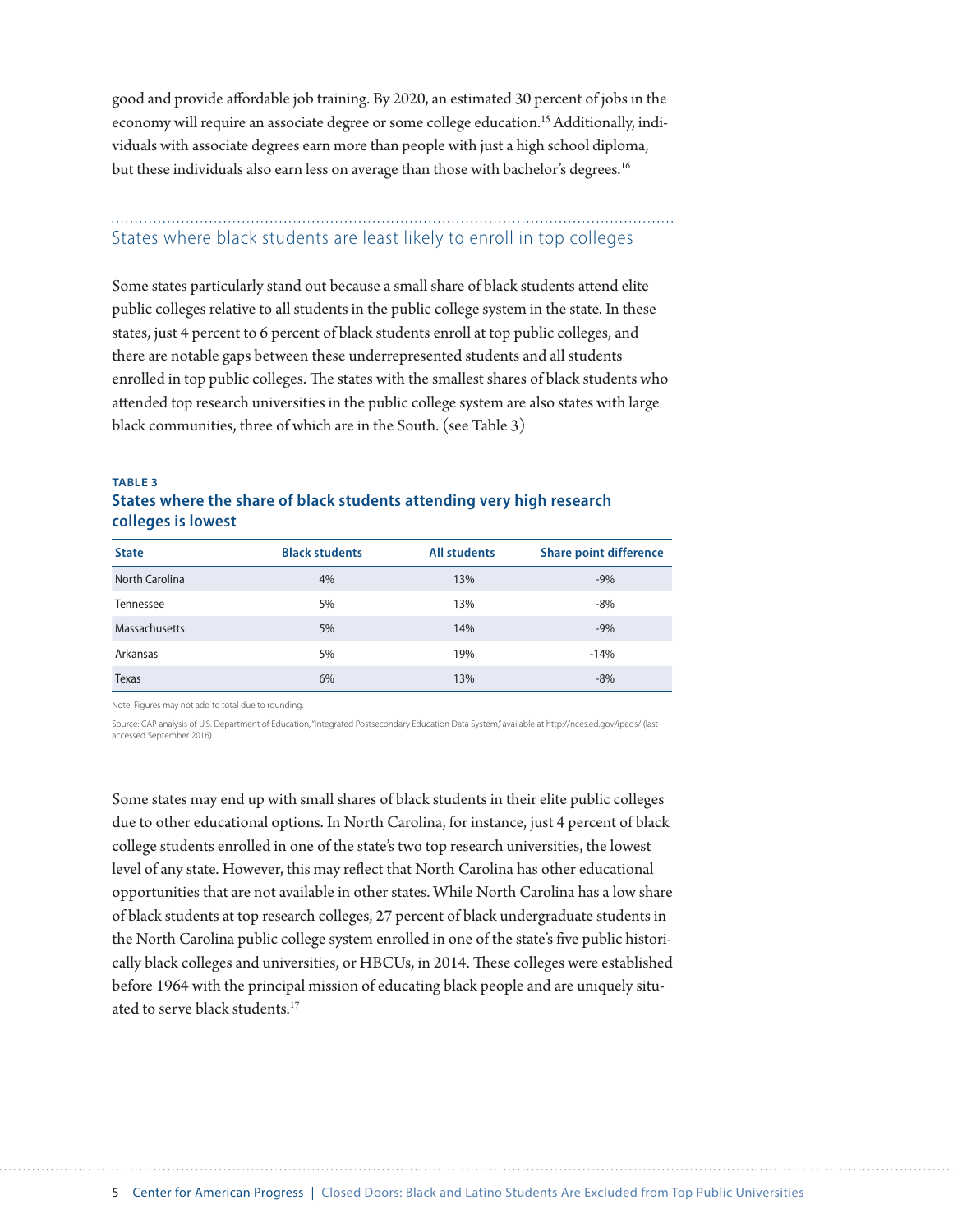good and provide affordable job training. By 2020, an estimated 30 percent of jobs in the economy will require an associate degree or some college education.15 Additionally, individuals with associate degrees earn more than people with just a high school diploma, but these individuals also earn less on average than those with bachelor's degrees.<sup>16</sup>

### States where black students are least likely to enroll in top colleges

Some states particularly stand out because a small share of black students attend elite public colleges relative to all students in the public college system in the state. In these states, just 4 percent to 6 percent of black students enroll at top public colleges, and there are notable gaps between these underrepresented students and all students enrolled in top public colleges. The states with the smallest shares of black students who attended top research universities in the public college system are also states with large black communities, three of which are in the South. (see Table 3)

#### **TABLE 3 States where the share of black students attending very high research colleges is lowest**

| <b>State</b>          | <b>Black students</b> | <b>All students</b> | <b>Share point difference</b> |
|-----------------------|-----------------------|---------------------|-------------------------------|
| <b>North Carolina</b> | 4%                    | 13%                 | $-9%$                         |
| Tennessee             | 5%                    | 13%                 | $-8%$                         |
| Massachusetts         | 5%                    | 14%                 | $-9%$                         |
| Arkansas              | 5%                    | 19%                 | $-14%$                        |
| Texas                 | 6%                    | 13%                 | $-8%$                         |

Note: Figures may not add to total due to rounding.

Source: CAP analysis of U.S. Department of Education, "Integrated Postsecondary Education Data System," available at http://nces.ed.gov/ipeds/ (last accessed September 2016).

Some states may end up with small shares of black students in their elite public colleges due to other educational options. In North Carolina, for instance, just 4 percent of black college students enrolled in one of the state's two top research universities, the lowest level of any state. However, this may reflect that North Carolina has other educational opportunities that are not available in other states. While North Carolina has a low share of black students at top research colleges, 27 percent of black undergraduate students in the North Carolina public college system enrolled in one of the state's five public historically black colleges and universities, or HBCUs, in 2014. These colleges were established before 1964 with the principal mission of educating black people and are uniquely situated to serve black students.<sup>17</sup>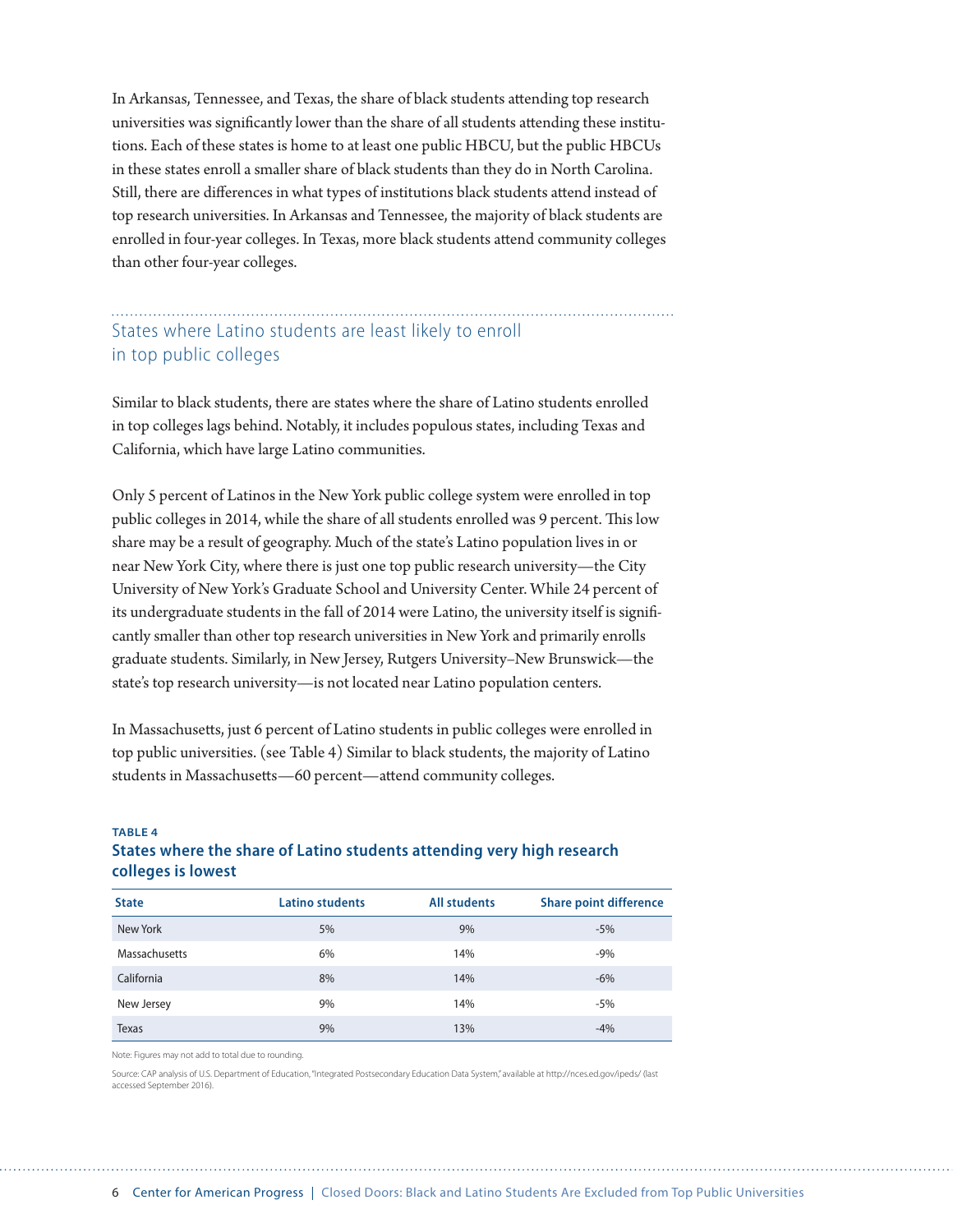In Arkansas, Tennessee, and Texas, the share of black students attending top research universities was significantly lower than the share of all students attending these institutions. Each of these states is home to at least one public HBCU, but the public HBCUs in these states enroll a smaller share of black students than they do in North Carolina. Still, there are differences in what types of institutions black students attend instead of top research universities. In Arkansas and Tennessee, the majority of black students are enrolled in four-year colleges. In Texas, more black students attend community colleges than other four-year colleges.

### States where Latino students are least likely to enroll in top public colleges

Similar to black students, there are states where the share of Latino students enrolled in top colleges lags behind. Notably, it includes populous states, including Texas and California, which have large Latino communities.

Only 5 percent of Latinos in the New York public college system were enrolled in top public colleges in 2014, while the share of all students enrolled was 9 percent. This low share may be a result of geography. Much of the state's Latino population lives in or near New York City, where there is just one top public research university—the City University of New York's Graduate School and University Center. While 24 percent of its undergraduate students in the fall of 2014 were Latino, the university itself is significantly smaller than other top research universities in New York and primarily enrolls graduate students. Similarly, in New Jersey, Rutgers University–New Brunswick—the state's top research university—is not located near Latino population centers.

In Massachusetts, just 6 percent of Latino students in public colleges were enrolled in top public universities. (see Table 4) Similar to black students, the majority of Latino students in Massachusetts—60 percent—attend community colleges.

#### **TABLE 4 States where the share of Latino students attending very high research colleges is lowest**

| <b>State</b>  | <b>Latino students</b> | <b>All students</b> | <b>Share point difference</b> |
|---------------|------------------------|---------------------|-------------------------------|
| New York      | 5%                     | 9%                  | $-5%$                         |
| Massachusetts | 6%                     | 14%                 | $-9%$                         |
| California    | 8%                     | 14%                 | $-6%$                         |
| New Jersey    | 9%                     | 14%                 | $-5%$                         |
| Texas         | 9%                     | 13%                 | $-4%$                         |

Note: Figures may not add to total due to rounding.

Source: CAP analysis of U.S. Department of Education, "Integrated Postsecondary Education Data System," available at http://nces.ed.gov/ipeds/ (last accessed September 2016).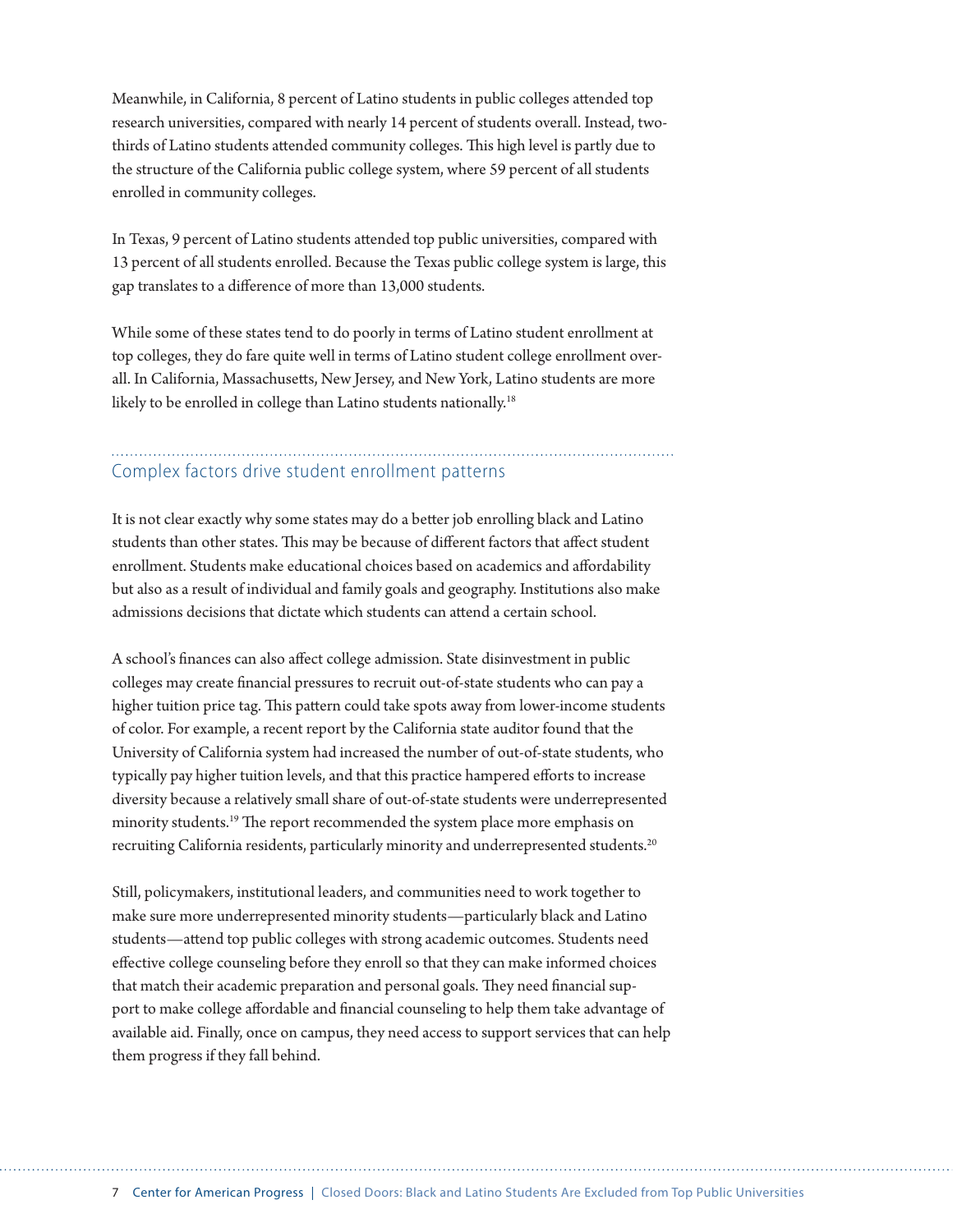Meanwhile, in California, 8 percent of Latino students in public colleges attended top research universities, compared with nearly 14 percent of students overall. Instead, twothirds of Latino students attended community colleges. This high level is partly due to the structure of the California public college system, where 59 percent of all students enrolled in community colleges.

In Texas, 9 percent of Latino students attended top public universities, compared with 13 percent of all students enrolled. Because the Texas public college system is large, this gap translates to a difference of more than 13,000 students.

While some of these states tend to do poorly in terms of Latino student enrollment at top colleges, they do fare quite well in terms of Latino student college enrollment overall. In California, Massachusetts, New Jersey, and New York, Latino students are more likely to be enrolled in college than Latino students nationally.<sup>18</sup>

### Complex factors drive student enrollment patterns

It is not clear exactly why some states may do a better job enrolling black and Latino students than other states. This may be because of different factors that affect student enrollment. Students make educational choices based on academics and affordability but also as a result of individual and family goals and geography. Institutions also make admissions decisions that dictate which students can attend a certain school.

A school's finances can also affect college admission. State disinvestment in public colleges may create financial pressures to recruit out-of-state students who can pay a higher tuition price tag. This pattern could take spots away from lower-income students of color. For example, a recent report by the California state auditor found that the University of California system had increased the number of out-of-state students, who typically pay higher tuition levels, and that this practice hampered efforts to increase diversity because a relatively small share of out-of-state students were underrepresented minority students.<sup>19</sup> The report recommended the system place more emphasis on recruiting California residents, particularly minority and underrepresented students.<sup>20</sup>

Still, policymakers, institutional leaders, and communities need to work together to make sure more underrepresented minority students—particularly black and Latino students—attend top public colleges with strong academic outcomes. Students need effective college counseling before they enroll so that they can make informed choices that match their academic preparation and personal goals. They need financial support to make college affordable and financial counseling to help them take advantage of available aid. Finally, once on campus, they need access to support services that can help them progress if they fall behind.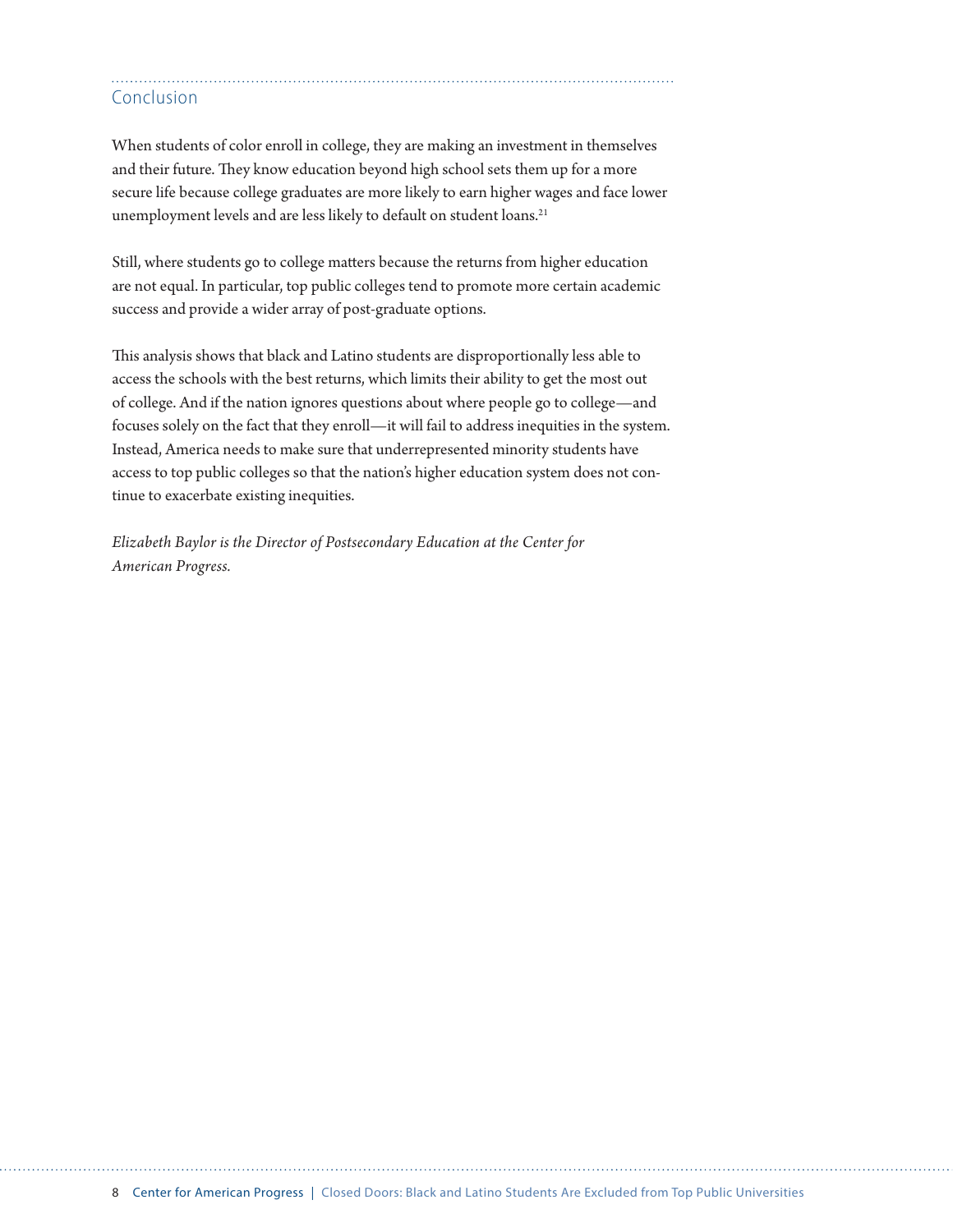### Conclusion

When students of color enroll in college, they are making an investment in themselves and their future. They know education beyond high school sets them up for a more secure life because college graduates are more likely to earn higher wages and face lower unemployment levels and are less likely to default on student loans.<sup>21</sup>

Still, where students go to college matters because the returns from higher education are not equal. In particular, top public colleges tend to promote more certain academic success and provide a wider array of post-graduate options.

This analysis shows that black and Latino students are disproportionally less able to access the schools with the best returns, which limits their ability to get the most out of college. And if the nation ignores questions about where people go to college—and focuses solely on the fact that they enroll—it will fail to address inequities in the system. Instead, America needs to make sure that underrepresented minority students have access to top public colleges so that the nation's higher education system does not continue to exacerbate existing inequities.

*Elizabeth Baylor is the Director of Postsecondary Education at the Center for American Progress.*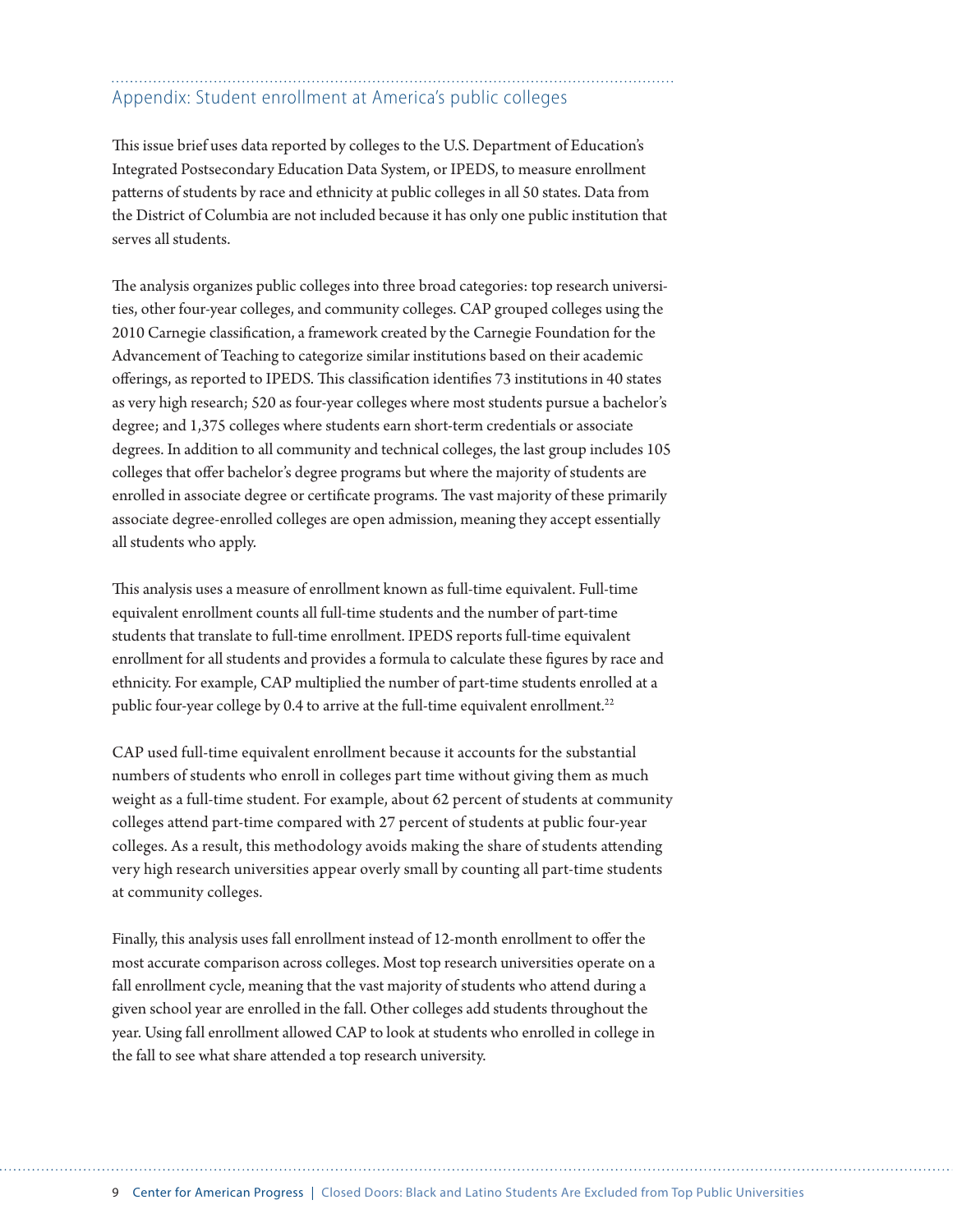### Appendix: Student enrollment at America's public colleges

This issue brief uses data reported by colleges to the U.S. Department of Education's Integrated Postsecondary Education Data System, or IPEDS, to measure enrollment patterns of students by race and ethnicity at public colleges in all 50 states. Data from the District of Columbia are not included because it has only one public institution that serves all students.

The analysis organizes public colleges into three broad categories: top research universities, other four-year colleges, and community colleges. CAP grouped colleges using the 2010 Carnegie classification, a framework created by the Carnegie Foundation for the Advancement of Teaching to categorize similar institutions based on their academic offerings, as reported to IPEDS. This classification identifies 73 institutions in 40 states as very high research; 520 as four-year colleges where most students pursue a bachelor's degree; and 1,375 colleges where students earn short-term credentials or associate degrees. In addition to all community and technical colleges, the last group includes 105 colleges that offer bachelor's degree programs but where the majority of students are enrolled in associate degree or certificate programs. The vast majority of these primarily associate degree-enrolled colleges are open admission, meaning they accept essentially all students who apply.

This analysis uses a measure of enrollment known as full-time equivalent. Full-time equivalent enrollment counts all full-time students and the number of part-time students that translate to full-time enrollment. IPEDS reports full-time equivalent enrollment for all students and provides a formula to calculate these figures by race and ethnicity. For example, CAP multiplied the number of part-time students enrolled at a public four-year college by 0.4 to arrive at the full-time equivalent enrollment.<sup>22</sup>

CAP used full-time equivalent enrollment because it accounts for the substantial numbers of students who enroll in colleges part time without giving them as much weight as a full-time student. For example, about 62 percent of students at community colleges attend part-time compared with 27 percent of students at public four-year colleges. As a result, this methodology avoids making the share of students attending very high research universities appear overly small by counting all part-time students at community colleges.

Finally, this analysis uses fall enrollment instead of 12-month enrollment to offer the most accurate comparison across colleges. Most top research universities operate on a fall enrollment cycle, meaning that the vast majority of students who attend during a given school year are enrolled in the fall. Other colleges add students throughout the year. Using fall enrollment allowed CAP to look at students who enrolled in college in the fall to see what share attended a top research university.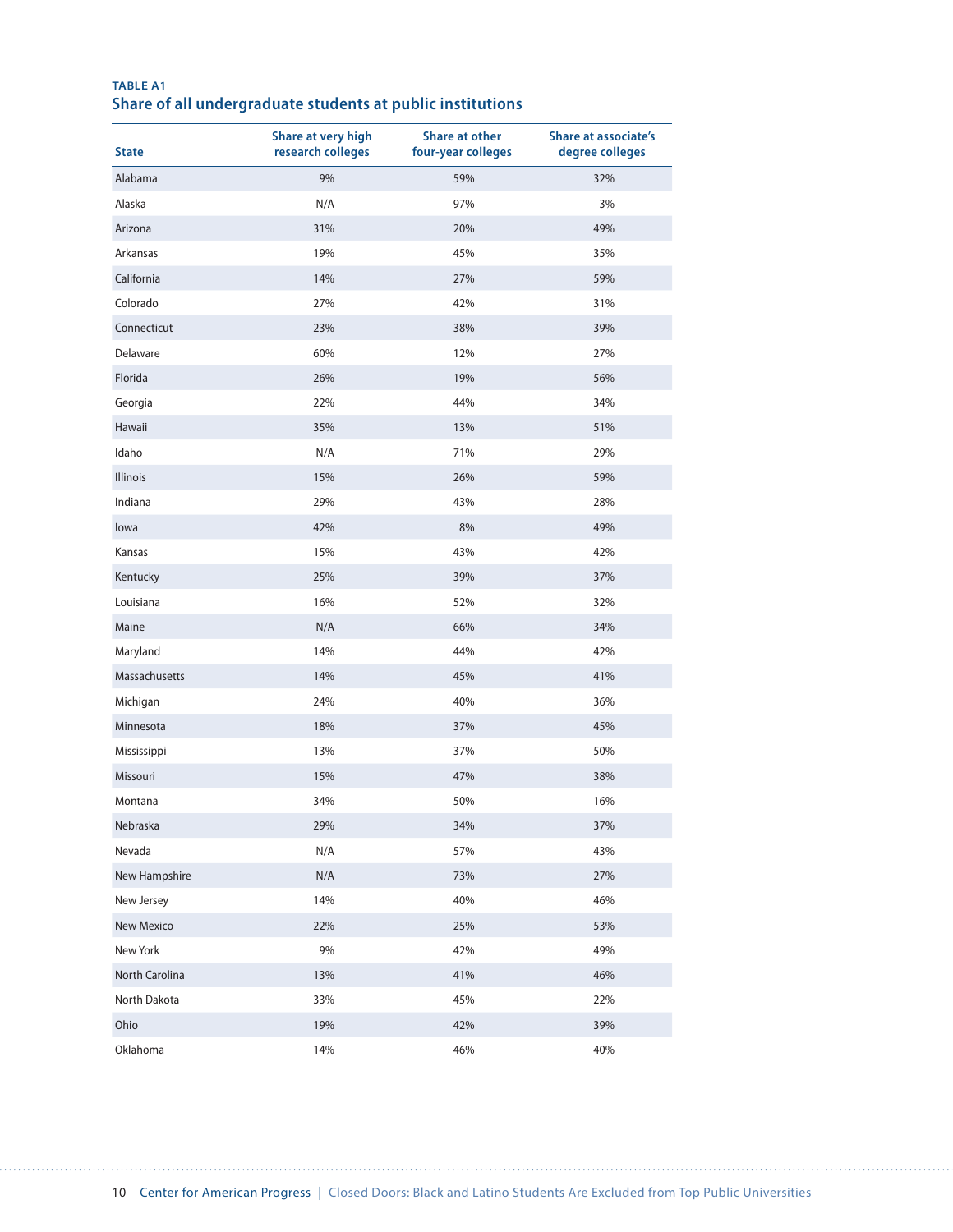| <b>State</b>    | Share at very high<br>research colleges | Share at other<br>four-year colleges | <b>Share at associate's</b><br>degree colleges |
|-----------------|-----------------------------------------|--------------------------------------|------------------------------------------------|
| Alabama         | 9%                                      | 59%                                  | 32%                                            |
| Alaska          | N/A                                     | 97%                                  | 3%                                             |
| Arizona         | 31%                                     | 20%                                  | 49%                                            |
| Arkansas        | 19%                                     | 45%                                  | 35%                                            |
| California      | 14%                                     | 27%                                  | 59%                                            |
| Colorado        | 27%                                     | 42%                                  | 31%                                            |
| Connecticut     | 23%                                     | 38%                                  | 39%                                            |
| Delaware        | 60%                                     | 12%                                  | 27%                                            |
| Florida         | 26%                                     | 19%                                  | 56%                                            |
| Georgia         | 22%                                     | 44%                                  | 34%                                            |
| Hawaii          | 35%                                     | 13%                                  | 51%                                            |
| Idaho           | N/A                                     | 71%                                  | 29%                                            |
| <b>Illinois</b> | 15%                                     | 26%                                  | 59%                                            |
| Indiana         | 29%                                     | 43%                                  | 28%                                            |
| lowa            | 42%                                     | 8%                                   | 49%                                            |
| Kansas          | 15%                                     | 43%                                  | 42%                                            |
| Kentucky        | 25%                                     | 39%                                  | 37%                                            |
| Louisiana       | 16%                                     | 52%                                  | 32%                                            |
| Maine           | N/A                                     | 66%                                  | 34%                                            |
| Maryland        | 14%                                     | 44%                                  | 42%                                            |
| Massachusetts   | 14%                                     | 45%                                  | 41%                                            |
| Michigan        | 24%                                     | 40%                                  | 36%                                            |
| Minnesota       | 18%                                     | 37%                                  | 45%                                            |
| Mississippi     | 13%                                     | 37%                                  | 50%                                            |
| Missouri        | 15%                                     | 47%                                  | 38%                                            |
| Montana         | 34%                                     | 50%                                  | 16%                                            |
| Nebraska        | 29%                                     | 34%                                  | 37%                                            |
| Nevada          | N/A                                     | 57%                                  | 43%                                            |
| New Hampshire   | N/A                                     | 73%                                  | 27%                                            |
| New Jersey      | 14%                                     | 40%                                  | 46%                                            |
| New Mexico      | 22%                                     | 25%                                  | 53%                                            |
| New York        | 9%                                      | 42%                                  | 49%                                            |
| North Carolina  | 13%                                     | 41%                                  | 46%                                            |
| North Dakota    | 33%                                     | 45%                                  | 22%                                            |
| Ohio            | 19%                                     | 42%                                  | 39%                                            |
| Oklahoma        | 14%                                     | 46%                                  | 40%                                            |

#### **TABLE A1 Share of all undergraduate students at public institutions**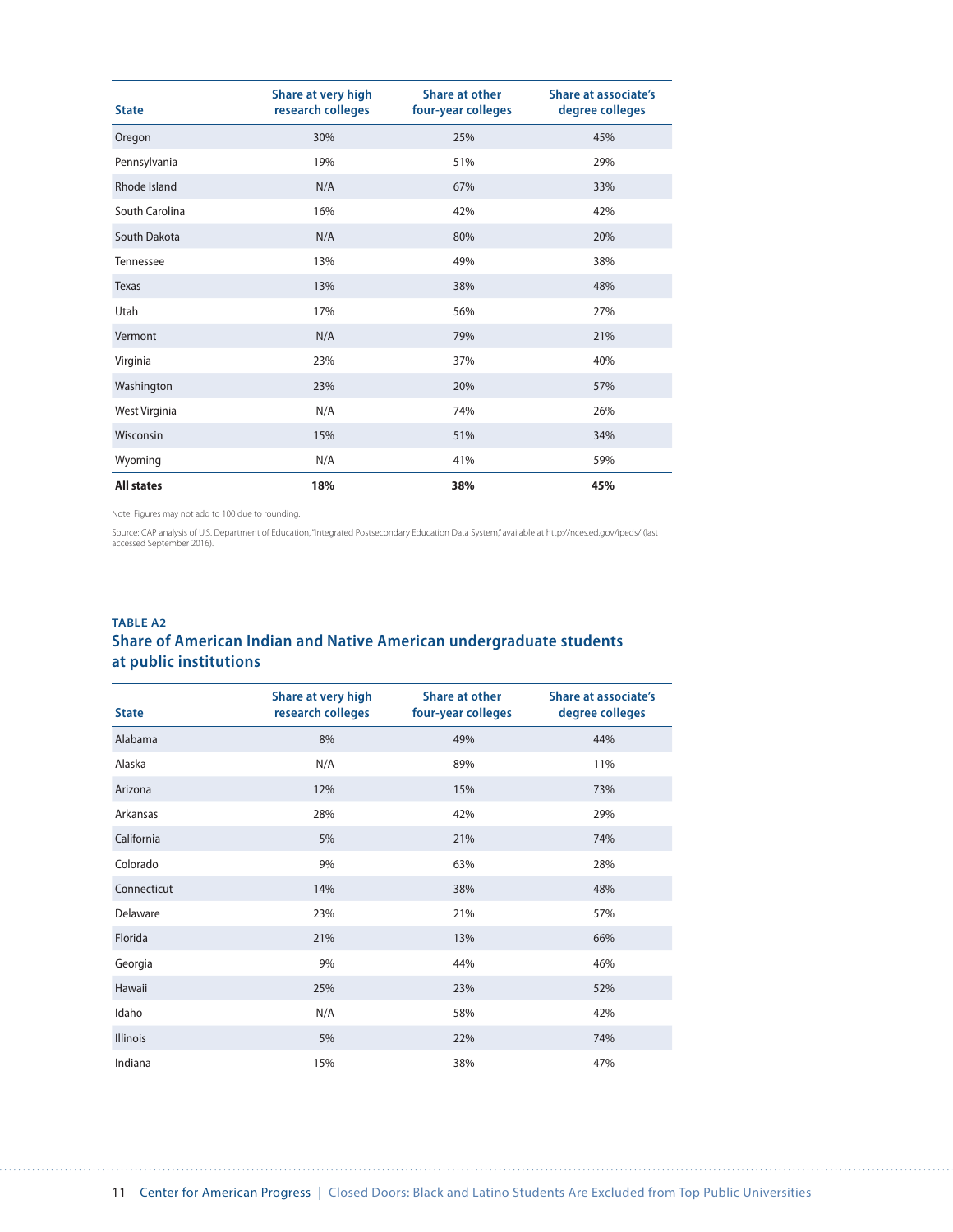| <b>State</b>      | Share at very high<br>research colleges | Share at other<br>four-year colleges | <b>Share at associate's</b><br>degree colleges |
|-------------------|-----------------------------------------|--------------------------------------|------------------------------------------------|
| Oregon            | 30%                                     | 25%                                  | 45%                                            |
| Pennsylvania      | 19%                                     | 51%                                  | 29%                                            |
| Rhode Island      | N/A                                     | 67%                                  | 33%                                            |
| South Carolina    | 16%                                     | 42%                                  | 42%                                            |
| South Dakota      | N/A                                     | 80%                                  | 20%                                            |
| Tennessee         | 13%                                     | 49%                                  | 38%                                            |
| <b>Texas</b>      | 13%                                     | 38%                                  | 48%                                            |
| Utah              | 17%                                     | 56%                                  | 27%                                            |
| Vermont           | N/A                                     | 79%                                  | 21%                                            |
| Virginia          | 23%                                     | 37%                                  | 40%                                            |
| Washington        | 23%                                     | 20%                                  | 57%                                            |
| West Virginia     | N/A                                     | 74%                                  | 26%                                            |
| Wisconsin         | 15%                                     | 51%                                  | 34%                                            |
| Wyoming           | N/A                                     | 41%                                  | 59%                                            |
| <b>All states</b> | 18%                                     | 38%                                  | 45%                                            |

Source: CAP analysis of U.S. Department of Education, "Integrated Postsecondary Education Data System," available at http://nces.ed.gov/ipeds/ (last<br>accessed September 2016).

### **TABLE A2 Share of American Indian and Native American undergraduate students at public institutions**

| <b>State</b>    | Share at very high<br>research colleges | <b>Share at other</b><br>four-year colleges | <b>Share at associate's</b><br>degree colleges |
|-----------------|-----------------------------------------|---------------------------------------------|------------------------------------------------|
| Alabama         | 8%                                      | 49%                                         | 44%                                            |
| Alaska          | N/A                                     | 89%                                         | 11%                                            |
| Arizona         | 12%                                     | 15%                                         | 73%                                            |
| Arkansas        | 28%                                     | 42%                                         | 29%                                            |
| California      | 5%                                      | 21%                                         | 74%                                            |
| Colorado        | 9%                                      | 63%                                         | 28%                                            |
| Connecticut     | 14%                                     | 38%                                         | 48%                                            |
| Delaware        | 23%                                     | 21%                                         | 57%                                            |
| Florida         | 21%                                     | 13%                                         | 66%                                            |
| Georgia         | 9%                                      | 44%                                         | 46%                                            |
| Hawaii          | 25%                                     | 23%                                         | 52%                                            |
| Idaho           | N/A                                     | 58%                                         | 42%                                            |
| <b>Illinois</b> | 5%                                      | 22%                                         | 74%                                            |
| Indiana         | 15%                                     | 38%                                         | 47%                                            |

. . . . . . . . . . . . . . . . . . . .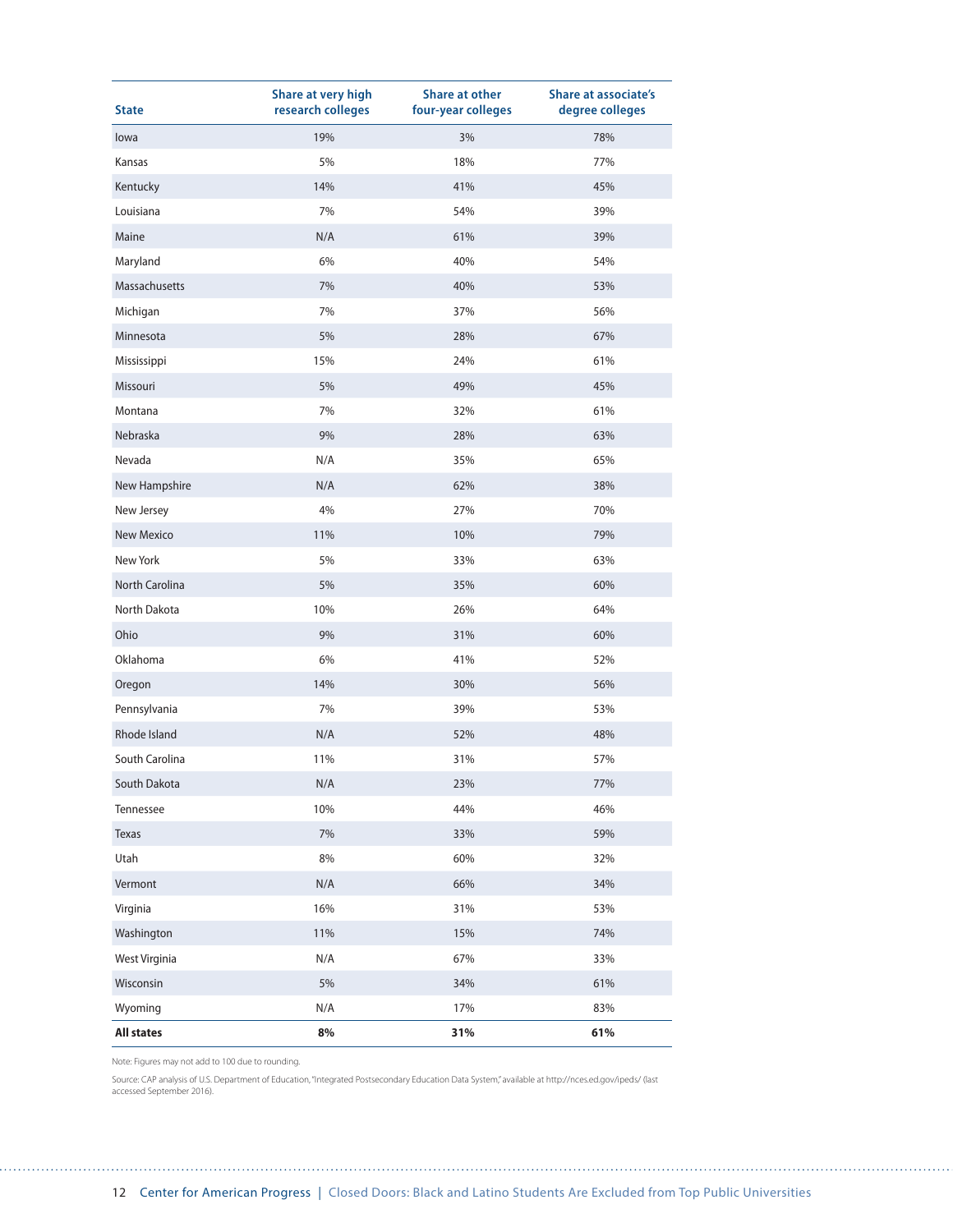| <b>State</b>      | Share at very high<br>research colleges | <b>Share at other</b><br>four-year colleges | <b>Share at associate's</b><br>degree colleges |
|-------------------|-----------------------------------------|---------------------------------------------|------------------------------------------------|
| lowa              | 19%                                     | 3%                                          | 78%                                            |
| Kansas            | 5%                                      | 18%                                         | 77%                                            |
| Kentucky          | 14%                                     | 41%                                         | 45%                                            |
| Louisiana         | 7%                                      | 54%                                         | 39%                                            |
| Maine             | N/A                                     | 61%                                         | 39%                                            |
| Maryland          | 6%                                      | 40%                                         | 54%                                            |
| Massachusetts     | 7%                                      | 40%                                         | 53%                                            |
| Michigan          | 7%                                      | 37%                                         | 56%                                            |
| Minnesota         | 5%                                      | 28%                                         | 67%                                            |
| Mississippi       | 15%                                     | 24%                                         | 61%                                            |
| Missouri          | 5%                                      | 49%                                         | 45%                                            |
| Montana           | 7%                                      | 32%                                         | 61%                                            |
| Nebraska          | 9%                                      | 28%                                         | 63%                                            |
| Nevada            | N/A                                     | 35%                                         | 65%                                            |
| New Hampshire     | N/A                                     | 62%                                         | 38%                                            |
| New Jersey        | 4%                                      | 27%                                         | 70%                                            |
| <b>New Mexico</b> | 11%                                     | 10%                                         | 79%                                            |
| New York          | 5%                                      | 33%                                         | 63%                                            |
| North Carolina    | 5%                                      | 35%                                         | 60%                                            |
| North Dakota      | 10%                                     | 26%                                         | 64%                                            |
| Ohio              | 9%                                      | 31%                                         | 60%                                            |
| Oklahoma          | 6%                                      | 41%                                         | 52%                                            |
| Oregon            | 14%                                     | 30%                                         | 56%                                            |
| Pennsylvania      | 7%                                      | 39%                                         | 53%                                            |
| Rhode Island      | N/A                                     | 52%                                         | 48%                                            |
| South Carolina    | 11%                                     | 31%                                         | 57%                                            |
| South Dakota      | N/A                                     | 23%                                         | 77%                                            |
| Tennessee         | 10%                                     | 44%                                         | 46%                                            |
| Texas             | $7\%$                                   | 33%                                         | 59%                                            |
| Utah              | $8\%$                                   | 60%                                         | 32%                                            |
| Vermont           | N/A                                     | 66%                                         | 34%                                            |
| Virginia          | 16%                                     | 31%                                         | 53%                                            |
| Washington        | 11%                                     | 15%                                         | 74%                                            |
| West Virginia     | N/A                                     | 67%                                         | 33%                                            |
| Wisconsin         | 5%                                      | 34%                                         | 61%                                            |
| Wyoming           | N/A                                     | 17%                                         | 83%                                            |
| <b>All states</b> | 8%                                      | 31%                                         | 61%                                            |

Source: CAP analysis of U.S. Department of Education, "Integrated Postsecondary Education Data System," available at http://nces.ed.gov/ipeds/ (last accessed September 2016).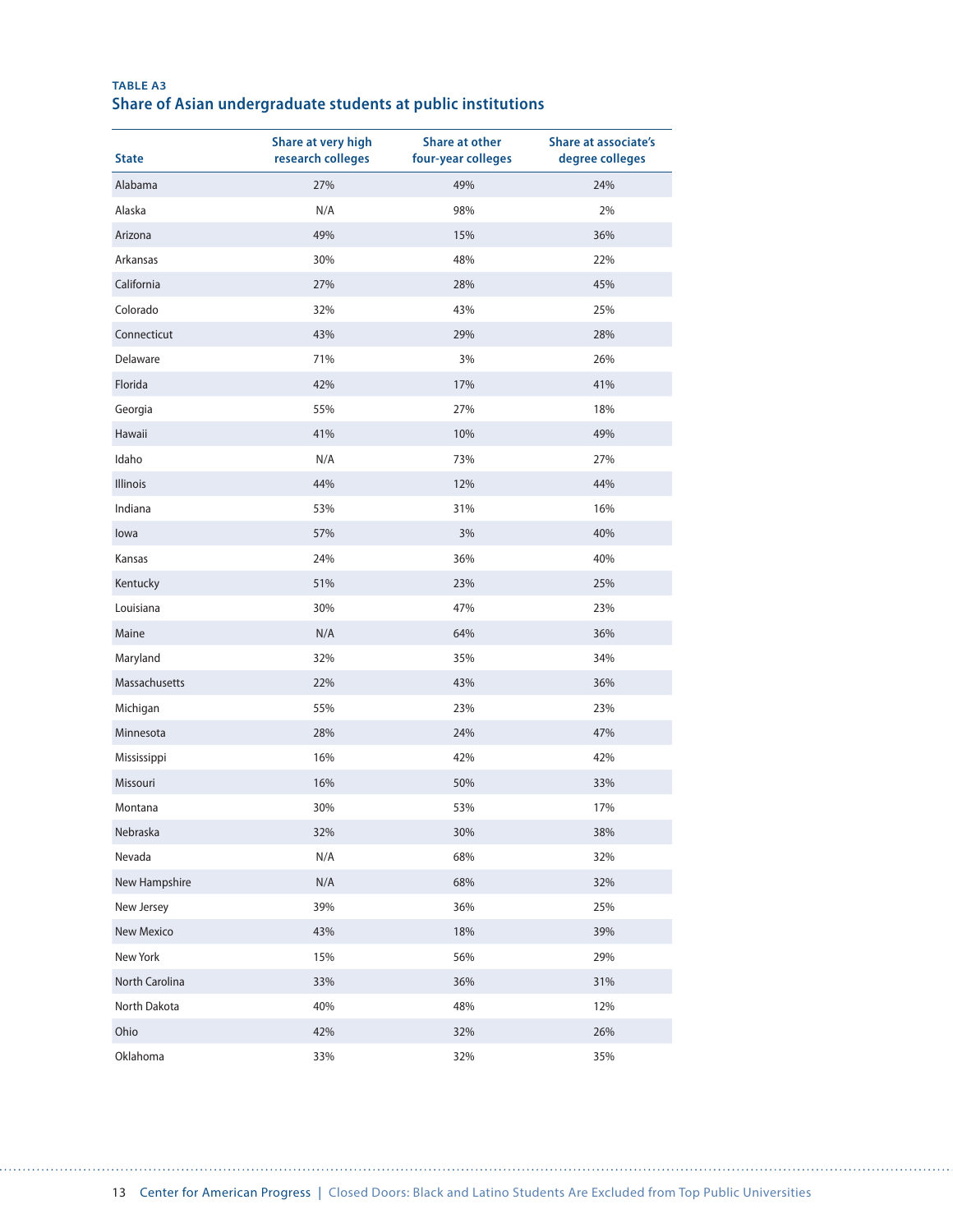#### **TABLE A3 Share of Asian undergraduate students at public institutions**

| <b>State</b>    | Share at very high<br>research colleges | <b>Share at other</b><br>four-year colleges | <b>Share at associate's</b><br>degree colleges |
|-----------------|-----------------------------------------|---------------------------------------------|------------------------------------------------|
| Alabama         | 27%                                     | 49%                                         | 24%                                            |
| Alaska          | N/A                                     | 98%                                         | 2%                                             |
| Arizona         | 49%                                     | 15%                                         | 36%                                            |
| Arkansas        | 30%                                     | 48%                                         | 22%                                            |
| California      | 27%                                     | 28%                                         | 45%                                            |
| Colorado        | 32%                                     | 43%                                         | 25%                                            |
| Connecticut     | 43%                                     | 29%                                         | 28%                                            |
| Delaware        | 71%                                     | 3%                                          | 26%                                            |
| Florida         | 42%                                     | 17%                                         | 41%                                            |
| Georgia         | 55%                                     | 27%                                         | 18%                                            |
| Hawaii          | 41%                                     | 10%                                         | 49%                                            |
| Idaho           | N/A                                     | 73%                                         | 27%                                            |
| <b>Illinois</b> | 44%                                     | 12%                                         | 44%                                            |
| Indiana         | 53%                                     | 31%                                         | 16%                                            |
| lowa            | 57%                                     | 3%                                          | 40%                                            |
| Kansas          | 24%                                     | 36%                                         | 40%                                            |
| Kentucky        | 51%                                     | 23%                                         | 25%                                            |
| Louisiana       | 30%                                     | 47%                                         | 23%                                            |
| Maine           | N/A                                     | 64%                                         | 36%                                            |
| Maryland        | 32%                                     | 35%                                         | 34%                                            |
| Massachusetts   | 22%                                     | 43%                                         | 36%                                            |
| Michigan        | 55%                                     | 23%                                         | 23%                                            |
| Minnesota       | 28%                                     | 24%                                         | 47%                                            |
| Mississippi     | 16%                                     | 42%                                         | 42%                                            |
| Missouri        | 16%                                     | 50%                                         | 33%                                            |
| Montana         | 30%                                     | 53%                                         | 17%                                            |
| Nebraska        | 32%                                     | 30%                                         | 38%                                            |
| Nevada          | N/A                                     | 68%                                         | 32%                                            |
| New Hampshire   | N/A                                     | 68%                                         | 32%                                            |
| New Jersey      | 39%                                     | 36%                                         | 25%                                            |
| New Mexico      | 43%                                     | 18%                                         | 39%                                            |
| New York        | 15%                                     | 56%                                         | 29%                                            |
| North Carolina  | 33%                                     | 36%                                         | 31%                                            |
| North Dakota    | 40%                                     | 48%                                         | 12%                                            |
| Ohio            | 42%                                     | 32%                                         | 26%                                            |
| Oklahoma        | 33%                                     | 32%                                         | 35%                                            |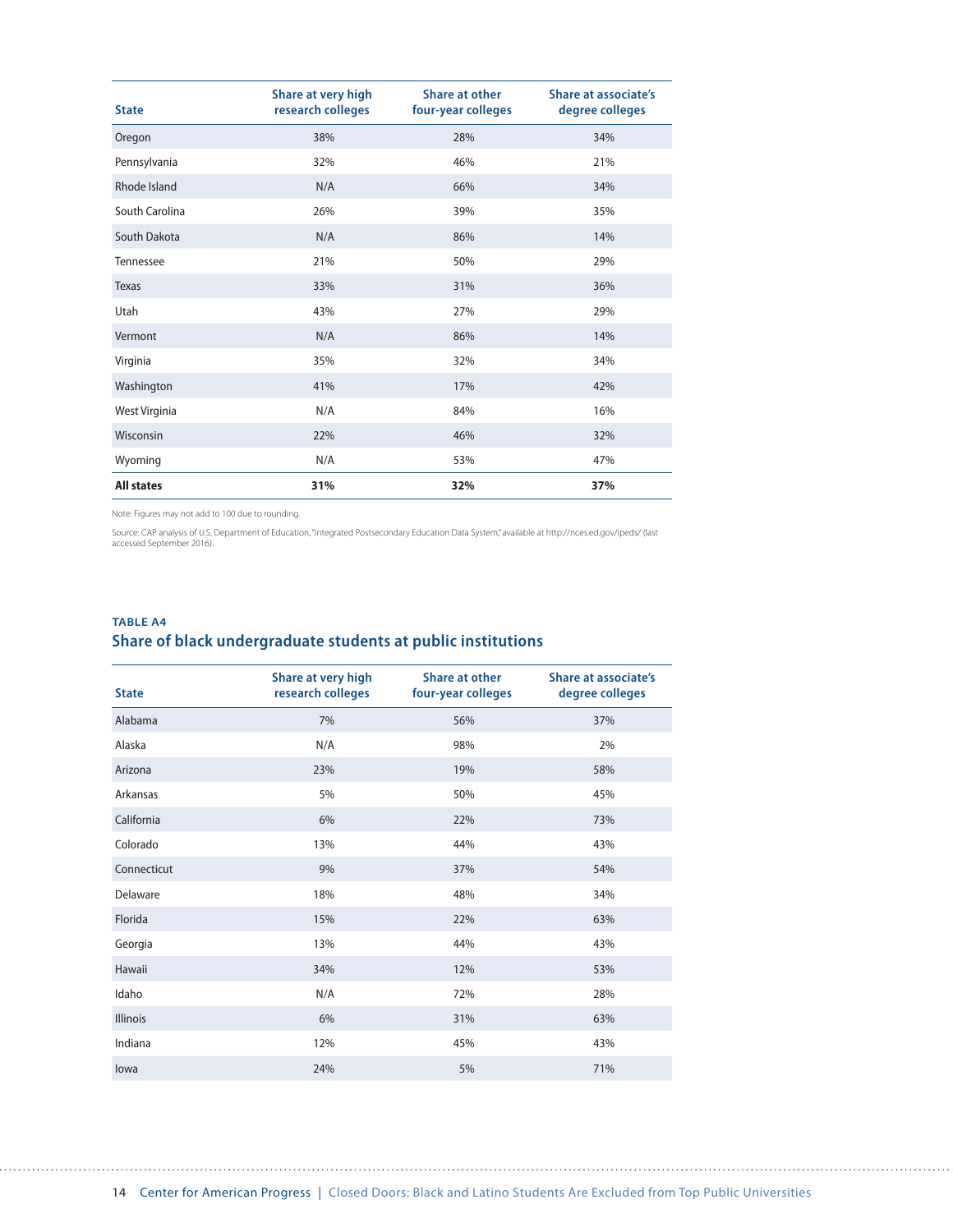| <b>State</b>      | Share at very high<br>research colleges | Share at other<br>four-year colleges | Share at associate's<br>degree colleges |
|-------------------|-----------------------------------------|--------------------------------------|-----------------------------------------|
| Oregon            | 38%                                     | 28%                                  | 34%                                     |
| Pennsylvania      | 32%                                     | 46%                                  | 21%                                     |
| Rhode Island      | N/A                                     | 66%                                  | 34%                                     |
| South Carolina    | 26%                                     | 39%                                  | 35%                                     |
| South Dakota      | N/A                                     | 86%                                  | 14%                                     |
| Tennessee         | 21%                                     | 50%                                  | 29%                                     |
| Texas             | 33%                                     | 31%                                  | 36%                                     |
| Utah              | 43%                                     | 27%                                  | 29%                                     |
| Vermont           | N/A                                     | 86%                                  | 14%                                     |
| Virginia          | 35%                                     | 32%                                  | 34%                                     |
| Washington        | 41%                                     | 17%                                  | 42%                                     |
| West Virginia     | N/A                                     | 84%                                  | 16%                                     |
| Wisconsin         | 22%                                     | 46%                                  | 32%                                     |
| Wyoming           | N/A                                     | 53%                                  | 47%                                     |
| <b>All states</b> | 31%                                     | 32%                                  | 37%                                     |

. . . . . . . . .

Source: CAP analysis of U.S. Department of Education, "Integrated Postsecondary Education Data System," available at http://nces.ed.gov/ipeds/ (last<br>accessed September 2016).

| <b>TABLE A4</b> |                                                              |
|-----------------|--------------------------------------------------------------|
|                 | Share of black undergraduate students at public institutions |

|                 | Share at very high | Share at other     | Share at associate's |
|-----------------|--------------------|--------------------|----------------------|
| <b>State</b>    | research colleges  | four-year colleges | degree colleges      |
| Alabama         | 7%                 | 56%                | 37%                  |
| Alaska          | N/A                | 98%                | 2%                   |
| Arizona         | 23%                | 19%                | 58%                  |
| Arkansas        | 5%                 | 50%                | 45%                  |
| California      | 6%                 | 22%                | 73%                  |
| Colorado        | 13%                | 44%                | 43%                  |
| Connecticut     | 9%                 | 37%                | 54%                  |
| Delaware        | 18%                | 48%                | 34%                  |
| Florida         | 15%                | 22%                | 63%                  |
| Georgia         | 13%                | 44%                | 43%                  |
| Hawaii          | 34%                | 12%                | 53%                  |
| Idaho           | N/A                | 72%                | 28%                  |
| <b>Illinois</b> | 6%                 | 31%                | 63%                  |
| Indiana         | 12%                | 45%                | 43%                  |
| lowa            | 24%                | 5%                 | 71%                  |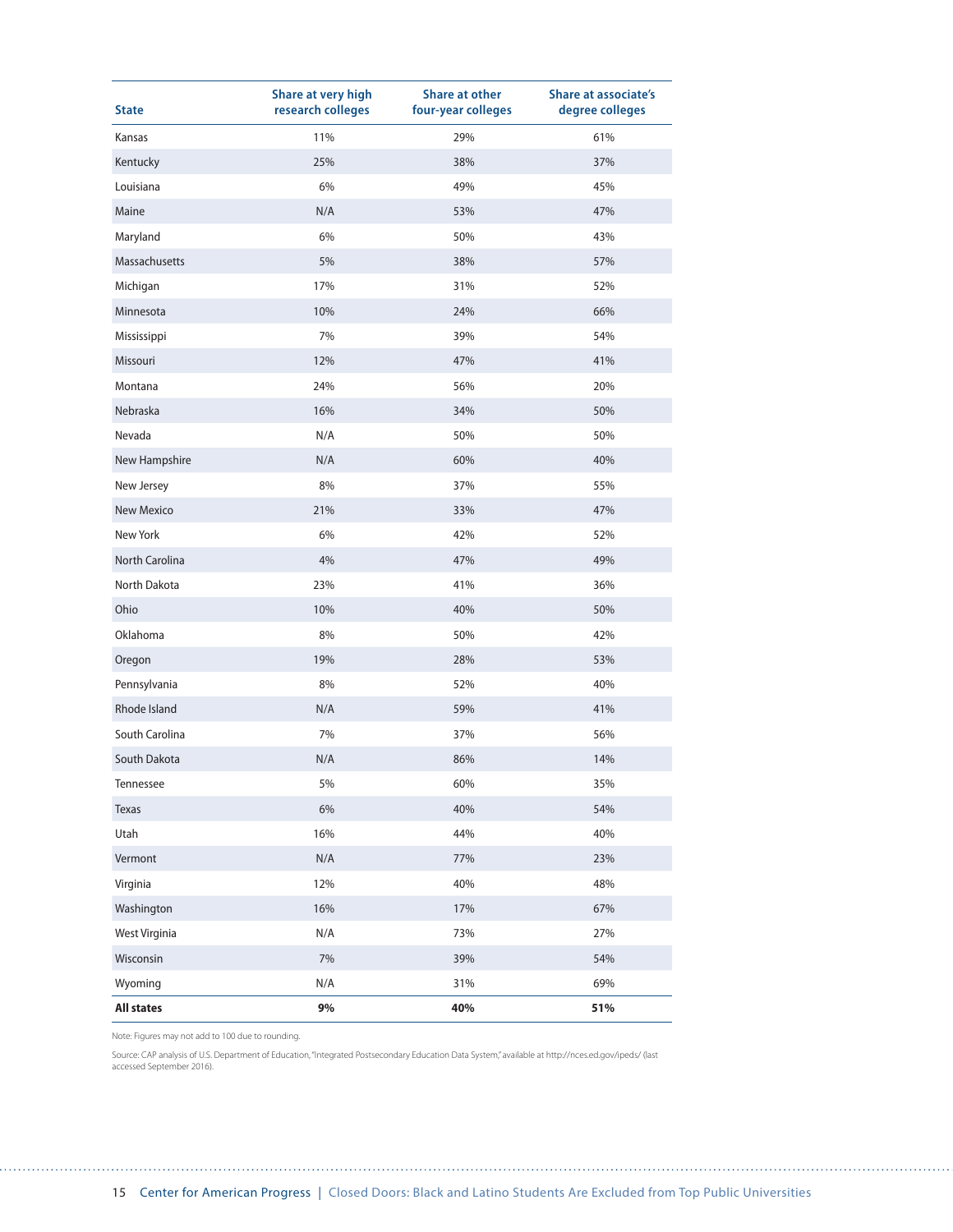| <b>State</b>         | Share at very high<br>research colleges | <b>Share at other</b><br>four-year colleges | <b>Share at associate's</b><br>degree colleges |
|----------------------|-----------------------------------------|---------------------------------------------|------------------------------------------------|
| Kansas               | 11%                                     | 29%                                         | 61%                                            |
| Kentucky             | 25%                                     | 38%                                         | 37%                                            |
| Louisiana            | 6%                                      | 49%                                         | 45%                                            |
| Maine                | N/A                                     | 53%                                         | 47%                                            |
| Maryland             | 6%                                      | 50%                                         | 43%                                            |
| Massachusetts        | 5%                                      | 38%                                         | 57%                                            |
| Michigan             | 17%                                     | 31%                                         | 52%                                            |
| Minnesota            | 10%                                     | 24%                                         | 66%                                            |
| Mississippi          | 7%                                      | 39%                                         | 54%                                            |
| Missouri             | 12%                                     | 47%                                         | 41%                                            |
| Montana              | 24%                                     | 56%                                         | 20%                                            |
| Nebraska             | 16%                                     | 34%                                         | 50%                                            |
| Nevada               | N/A                                     | 50%                                         | 50%                                            |
| New Hampshire        | N/A                                     | 60%                                         | 40%                                            |
| New Jersey           | 8%                                      | 37%                                         | 55%                                            |
| <b>New Mexico</b>    | 21%                                     | 33%                                         | 47%                                            |
| New York             | 6%                                      | 42%                                         | 52%                                            |
| North Carolina       | 4%                                      | 47%                                         | 49%                                            |
| North Dakota         | 23%                                     | 41%                                         | 36%                                            |
| Ohio                 | 10%                                     | 40%                                         | 50%                                            |
| Oklahoma             | 8%                                      | 50%                                         | 42%                                            |
| Oregon               | 19%                                     | 28%                                         | 53%                                            |
| Pennsylvania         | 8%                                      | 52%                                         | 40%                                            |
| Rhode Island         | N/A                                     | 59%                                         | 41%                                            |
| South Carolina       | 7%                                      | 37%                                         | 56%                                            |
| South Dakota         | N/A                                     | 86%                                         | 14%                                            |
| Tennessee            | 5%                                      | 60%                                         | 35%                                            |
| Texas                | $6\%$                                   | 40%                                         | 54%                                            |
| Utah                 | 16%                                     | 44%                                         | 40%                                            |
| Vermont              | N/A                                     | 77%                                         | 23%                                            |
| Virginia             | 12%                                     | 40%                                         | 48%                                            |
| Washington           | 16%                                     | 17%                                         | 67%                                            |
| <b>West Virginia</b> | N/A                                     | 73%                                         | 27%                                            |
| Wisconsin            | $7\%$                                   | 39%                                         | 54%                                            |
| Wyoming              | N/A                                     | 31%                                         | 69%                                            |
| <b>All states</b>    | 9%                                      | 40%                                         | 51%                                            |

. . . . . . .

Source: CAP analysis of U.S. Department of Education, "Integrated Postsecondary Education Data System," available at http://nces.ed.gov/ipeds/ (last accessed September 2016).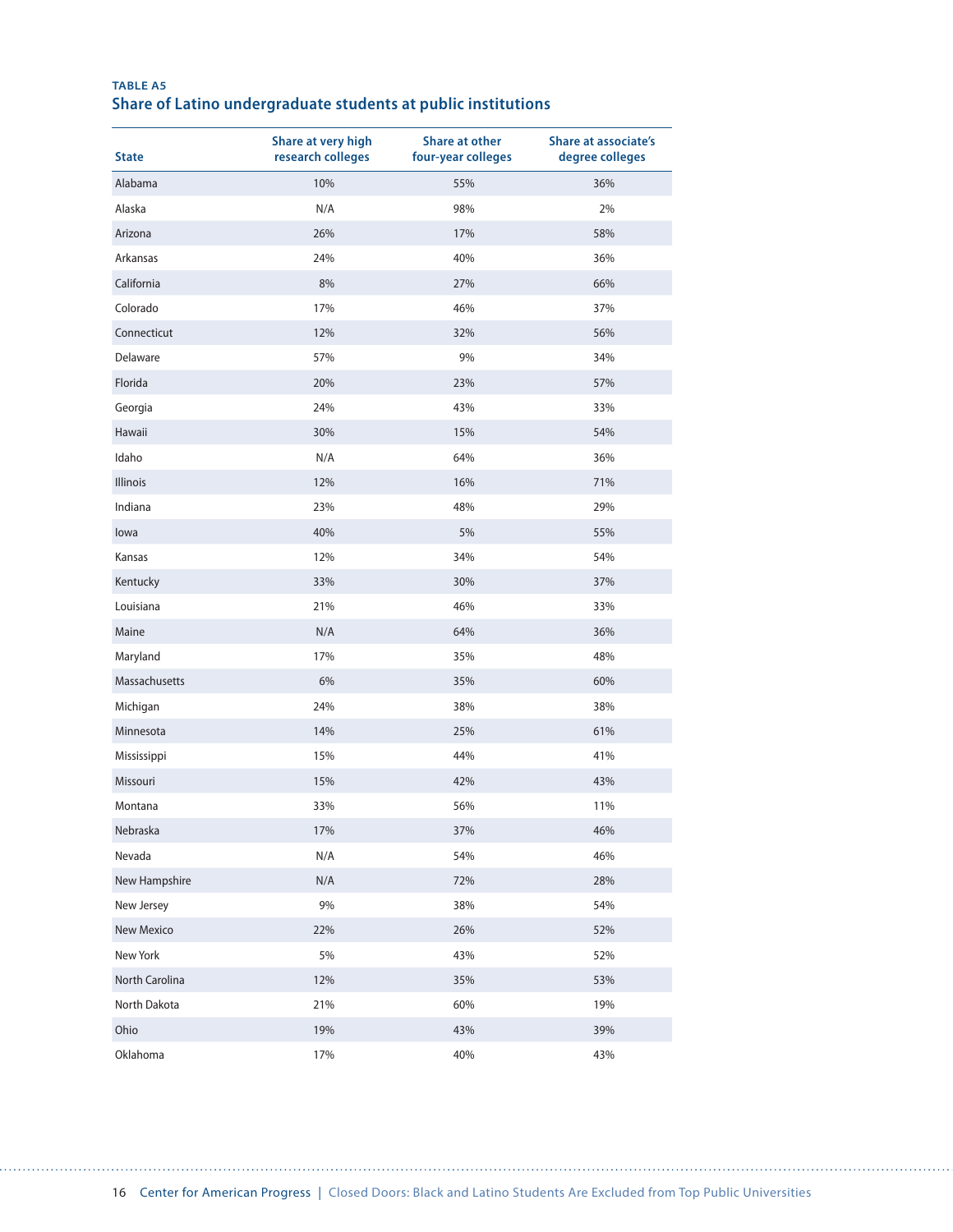| <b>TABLE A5</b> |                                                               |  |  |
|-----------------|---------------------------------------------------------------|--|--|
|                 | Share of Latino undergraduate students at public institutions |  |  |

| <b>State</b>   | Share at very high<br>research colleges | <b>Share at other</b><br>four-year colleges | <b>Share at associate's</b><br>degree colleges |
|----------------|-----------------------------------------|---------------------------------------------|------------------------------------------------|
| Alabama        | 10%                                     | 55%                                         | 36%                                            |
| Alaska         | N/A                                     | 98%                                         | 2%                                             |
| Arizona        | 26%                                     | 17%                                         | 58%                                            |
| Arkansas       | 24%                                     | 40%                                         | 36%                                            |
| California     | 8%                                      | 27%                                         | 66%                                            |
| Colorado       | 17%                                     | 46%                                         | 37%                                            |
| Connecticut    | 12%                                     | 32%                                         | 56%                                            |
| Delaware       | 57%                                     | 9%                                          | 34%                                            |
| Florida        | 20%                                     | 23%                                         | 57%                                            |
| Georgia        | 24%                                     | 43%                                         | 33%                                            |
| Hawaii         | 30%                                     | 15%                                         | 54%                                            |
| Idaho          | N/A                                     | 64%                                         | 36%                                            |
| Illinois       | 12%                                     | 16%                                         | 71%                                            |
| Indiana        | 23%                                     | 48%                                         | 29%                                            |
| lowa           | 40%                                     | 5%                                          | 55%                                            |
| Kansas         | 12%                                     | 34%                                         | 54%                                            |
| Kentucky       | 33%                                     | 30%                                         | 37%                                            |
| Louisiana      | 21%                                     | 46%                                         | 33%                                            |
| Maine          | N/A                                     | 64%                                         | 36%                                            |
| Maryland       | 17%                                     | 35%                                         | 48%                                            |
| Massachusetts  | 6%                                      | 35%                                         | 60%                                            |
| Michigan       | 24%                                     | 38%                                         | 38%                                            |
| Minnesota      | 14%                                     | 25%                                         | 61%                                            |
| Mississippi    | 15%                                     | 44%                                         | 41%                                            |
| Missouri       | 15%                                     | 42%                                         | 43%                                            |
| Montana        | 33%                                     | 56%                                         | 11%                                            |
| Nebraska       | 17%                                     | 37%                                         | 46%                                            |
| Nevada         | N/A                                     | 54%                                         | 46%                                            |
| New Hampshire  | N/A                                     | 72%                                         | 28%                                            |
| New Jersey     | 9%                                      | 38%                                         | 54%                                            |
| New Mexico     | 22%                                     | 26%                                         | 52%                                            |
| New York       | 5%                                      | 43%                                         | 52%                                            |
| North Carolina | 12%                                     | 35%                                         | 53%                                            |
| North Dakota   | 21%                                     | 60%                                         | 19%                                            |
| Ohio           | 19%                                     | 43%                                         | 39%                                            |
| Oklahoma       | 17%                                     | 40%                                         | 43%                                            |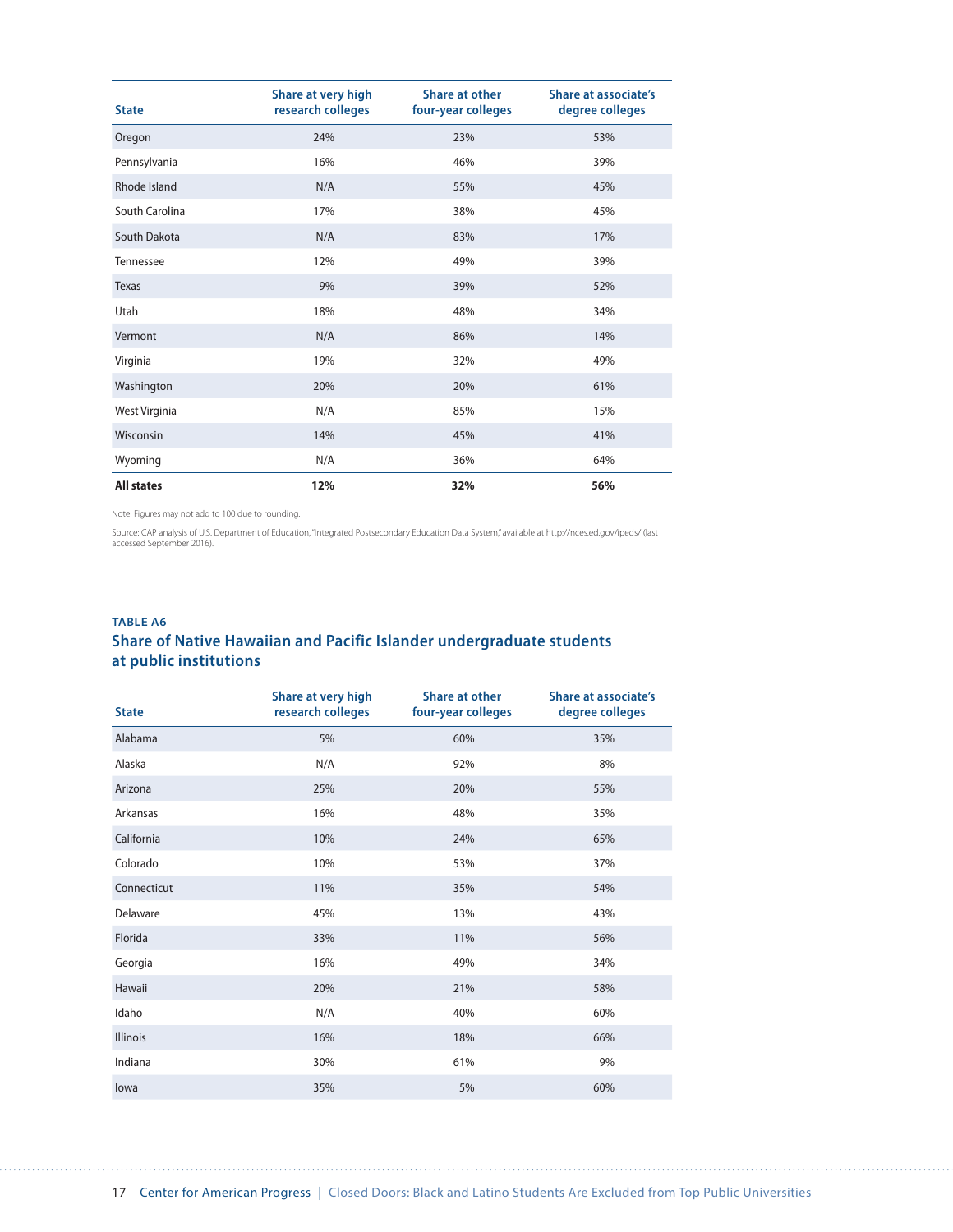| <b>State</b>      | Share at very high<br>research colleges | Share at other<br>four-year colleges | Share at associate's<br>degree colleges |
|-------------------|-----------------------------------------|--------------------------------------|-----------------------------------------|
| Oregon            | 24%                                     | 23%                                  | 53%                                     |
| Pennsylvania      | 16%                                     | 46%                                  | 39%                                     |
| Rhode Island      | N/A                                     | 55%                                  | 45%                                     |
| South Carolina    | 17%                                     | 38%                                  | 45%                                     |
| South Dakota      | N/A                                     | 83%                                  | 17%                                     |
| Tennessee         | 12%                                     | 49%                                  | 39%                                     |
| <b>Texas</b>      | 9%                                      | 39%                                  | 52%                                     |
| Utah              | 18%                                     | 48%                                  | 34%                                     |
| Vermont           | N/A                                     | 86%                                  | 14%                                     |
| Virginia          | 19%                                     | 32%                                  | 49%                                     |
| Washington        | 20%                                     | 20%                                  | 61%                                     |
| West Virginia     | N/A                                     | 85%                                  | 15%                                     |
| Wisconsin         | 14%                                     | 45%                                  | 41%                                     |
| Wyoming           | N/A                                     | 36%                                  | 64%                                     |
| <b>All states</b> | 12%                                     | 32%                                  | 56%                                     |

Source: CAP analysis of U.S. Department of Education, "Integrated Postsecondary Education Data System," available at http://nces.ed.gov/ipeds/ (last<br>accessed September 2016).

### **TABLE A6 Share of Native Hawaiian and Pacific Islander undergraduate students at public institutions**

| <b>State</b>    | Share at very high<br>research colleges | <b>Share at other</b><br>four-year colleges | <b>Share at associate's</b><br>degree colleges |
|-----------------|-----------------------------------------|---------------------------------------------|------------------------------------------------|
| Alabama         | 5%                                      | 60%                                         | 35%                                            |
| Alaska          | N/A                                     | 92%                                         | 8%                                             |
| Arizona         | 25%                                     | 20%                                         | 55%                                            |
| Arkansas        | 16%                                     | 48%                                         | 35%                                            |
| California      | 10%                                     | 24%                                         | 65%                                            |
| Colorado        | 10%                                     | 53%                                         | 37%                                            |
| Connecticut     | 11%                                     | 35%                                         | 54%                                            |
| Delaware        | 45%                                     | 13%                                         | 43%                                            |
| Florida         | 33%                                     | 11%                                         | 56%                                            |
| Georgia         | 16%                                     | 49%                                         | 34%                                            |
| Hawaii          | 20%                                     | 21%                                         | 58%                                            |
| Idaho           | N/A                                     | 40%                                         | 60%                                            |
| <b>Illinois</b> | 16%                                     | 18%                                         | 66%                                            |
| Indiana         | 30%                                     | 61%                                         | 9%                                             |
| lowa            | 35%                                     | 5%                                          | 60%                                            |

. . . . . . . . . . . . . .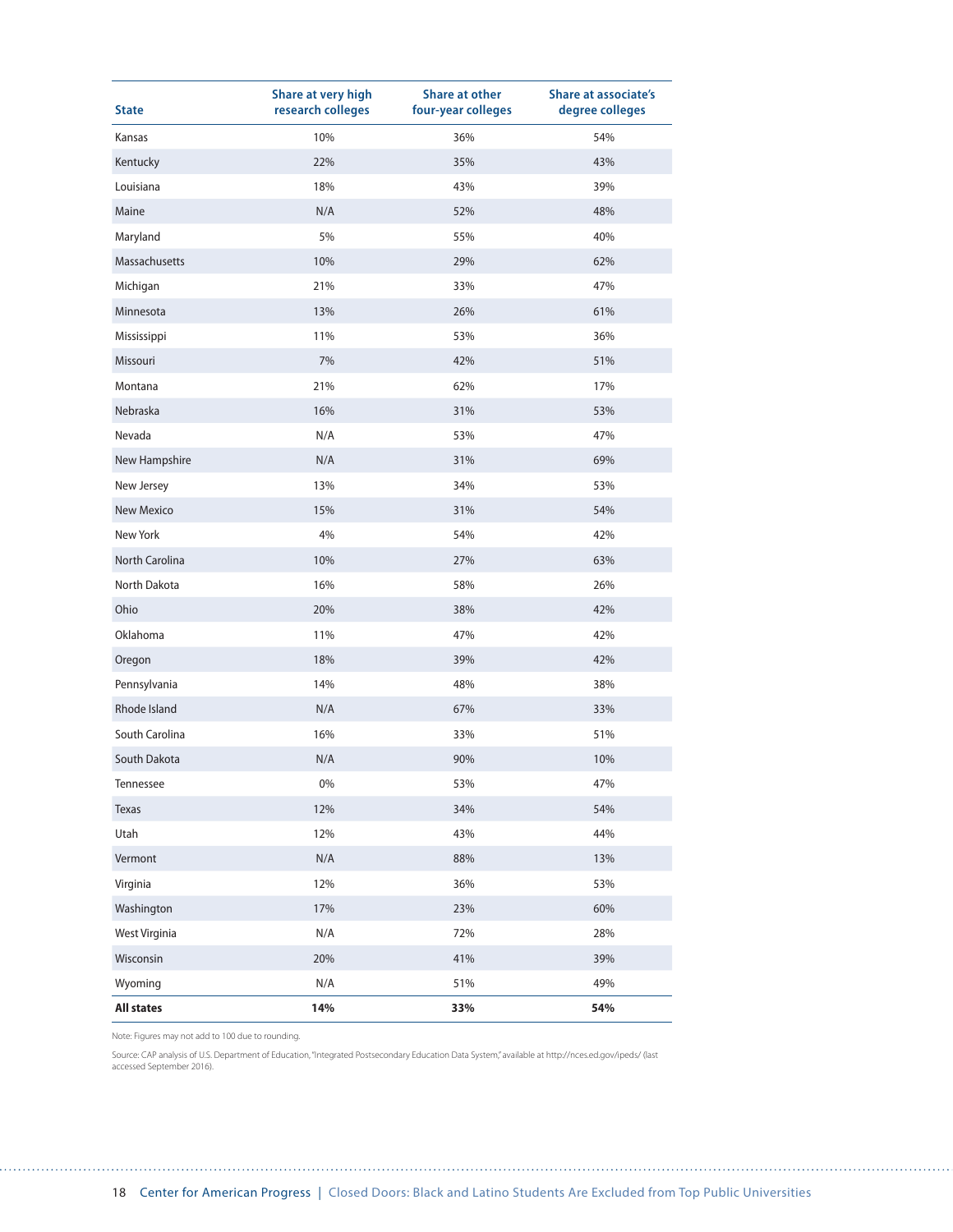| <b>State</b>         | Share at very high<br>research colleges | <b>Share at other</b><br>four-year colleges | <b>Share at associate's</b><br>degree colleges |
|----------------------|-----------------------------------------|---------------------------------------------|------------------------------------------------|
| Kansas               | 10%                                     | 36%                                         | 54%                                            |
| Kentucky             | 22%                                     | 35%                                         | 43%                                            |
| Louisiana            | 18%                                     | 43%                                         | 39%                                            |
| Maine                | N/A                                     | 52%                                         | 48%                                            |
| Maryland             | 5%                                      | 55%                                         | 40%                                            |
| Massachusetts        | 10%                                     | 29%                                         | 62%                                            |
| Michigan             | 21%                                     | 33%                                         | 47%                                            |
| Minnesota            | 13%                                     | 26%                                         | 61%                                            |
| Mississippi          | 11%                                     | 53%                                         | 36%                                            |
| Missouri             | 7%                                      | 42%                                         | 51%                                            |
| Montana              | 21%                                     | 62%                                         | 17%                                            |
| Nebraska             | 16%                                     | 31%                                         | 53%                                            |
| Nevada               | N/A                                     | 53%                                         | 47%                                            |
| New Hampshire        | N/A                                     | 31%                                         | 69%                                            |
| New Jersey           | 13%                                     | 34%                                         | 53%                                            |
| <b>New Mexico</b>    | 15%                                     | 31%                                         | 54%                                            |
| New York             | 4%                                      | 54%                                         | 42%                                            |
| North Carolina       | 10%                                     | 27%                                         | 63%                                            |
| North Dakota         | 16%                                     | 58%                                         | 26%                                            |
| Ohio                 | 20%                                     | 38%                                         | 42%                                            |
| Oklahoma             | 11%                                     | 47%                                         | 42%                                            |
| Oregon               | 18%                                     | 39%                                         | 42%                                            |
| Pennsylvania         | 14%                                     | 48%                                         | 38%                                            |
| Rhode Island         | N/A                                     | 67%                                         | 33%                                            |
| South Carolina       | 16%                                     | 33%                                         | 51%                                            |
| South Dakota         | N/A                                     | 90%                                         | 10%                                            |
| Tennessee            | 0%                                      | 53%                                         | 47%                                            |
| Texas                | 12%                                     | 34%                                         | 54%                                            |
| Utah                 | 12%                                     | 43%                                         | 44%                                            |
| Vermont              | N/A                                     | 88%                                         | 13%                                            |
| Virginia             | 12%                                     | 36%                                         | 53%                                            |
| Washington           | 17%                                     | 23%                                         | 60%                                            |
| <b>West Virginia</b> | N/A                                     | 72%                                         | 28%                                            |
| Wisconsin            | 20%                                     | 41%                                         | 39%                                            |
| Wyoming              | N/A                                     | 51%                                         | 49%                                            |
| <b>All states</b>    | 14%                                     | 33%                                         | 54%                                            |

Source: CAP analysis of U.S. Department of Education, "Integrated Postsecondary Education Data System," available at http://nces.ed.gov/ipeds/ (last accessed September 2016).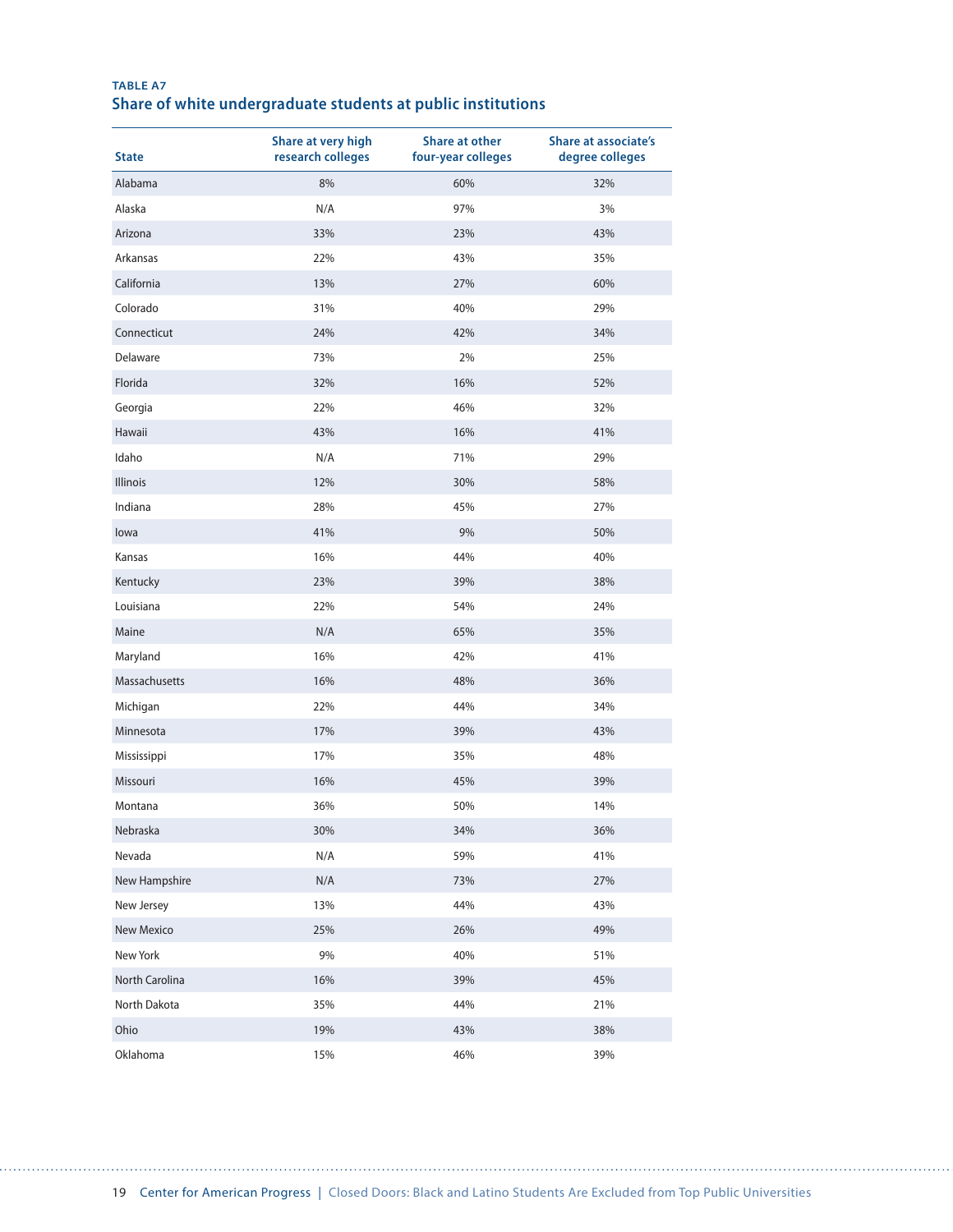| <b>TABLE A7</b> |                                                              |  |  |
|-----------------|--------------------------------------------------------------|--|--|
|                 | Share of white undergraduate students at public institutions |  |  |

| <b>State</b>    | Share at very high<br>research colleges | <b>Share at other</b><br>four-year colleges | <b>Share at associate's</b><br>degree colleges |
|-----------------|-----------------------------------------|---------------------------------------------|------------------------------------------------|
| Alabama         | 8%                                      | 60%                                         | 32%                                            |
| Alaska          | N/A                                     | 97%                                         | 3%                                             |
| Arizona         | 33%                                     | 23%                                         | 43%                                            |
| Arkansas        | 22%                                     | 43%                                         | 35%                                            |
| California      | 13%                                     | 27%                                         | 60%                                            |
| Colorado        | 31%                                     | 40%                                         | 29%                                            |
| Connecticut     | 24%                                     | 42%                                         | 34%                                            |
| Delaware        | 73%                                     | 2%                                          | 25%                                            |
| Florida         | 32%                                     | 16%                                         | 52%                                            |
| Georgia         | 22%                                     | 46%                                         | 32%                                            |
| Hawaii          | 43%                                     | 16%                                         | 41%                                            |
| Idaho           | N/A                                     | 71%                                         | 29%                                            |
| <b>Illinois</b> | 12%                                     | 30%                                         | 58%                                            |
| Indiana         | 28%                                     | 45%                                         | 27%                                            |
| lowa            | 41%                                     | 9%                                          | 50%                                            |
| Kansas          | 16%                                     | 44%                                         | 40%                                            |
| Kentucky        | 23%                                     | 39%                                         | 38%                                            |
| Louisiana       | 22%                                     | 54%                                         | 24%                                            |
| Maine           | N/A                                     | 65%                                         | 35%                                            |
| Maryland        | 16%                                     | 42%                                         | 41%                                            |
| Massachusetts   | 16%                                     | 48%                                         | 36%                                            |
| Michigan        | 22%                                     | 44%                                         | 34%                                            |
| Minnesota       | 17%                                     | 39%                                         | 43%                                            |
| Mississippi     | 17%                                     | 35%                                         | 48%                                            |
| Missouri        | 16%                                     | 45%                                         | 39%                                            |
| Montana         | 36%                                     | 50%                                         | 14%                                            |
| Nebraska        | 30%                                     | 34%                                         | 36%                                            |
| Nevada          | N/A                                     | 59%                                         | 41%                                            |
| New Hampshire   | N/A                                     | 73%                                         | 27%                                            |
| New Jersey      | 13%                                     | 44%                                         | 43%                                            |
| New Mexico      | 25%                                     | 26%                                         | 49%                                            |
| New York        | $9\%$                                   | 40%                                         | 51%                                            |
| North Carolina  | 16%                                     | 39%                                         | 45%                                            |
| North Dakota    | 35%                                     | 44%                                         | 21%                                            |
| Ohio            | 19%                                     | 43%                                         | 38%                                            |
| Oklahoma        | 15%                                     | 46%                                         | 39%                                            |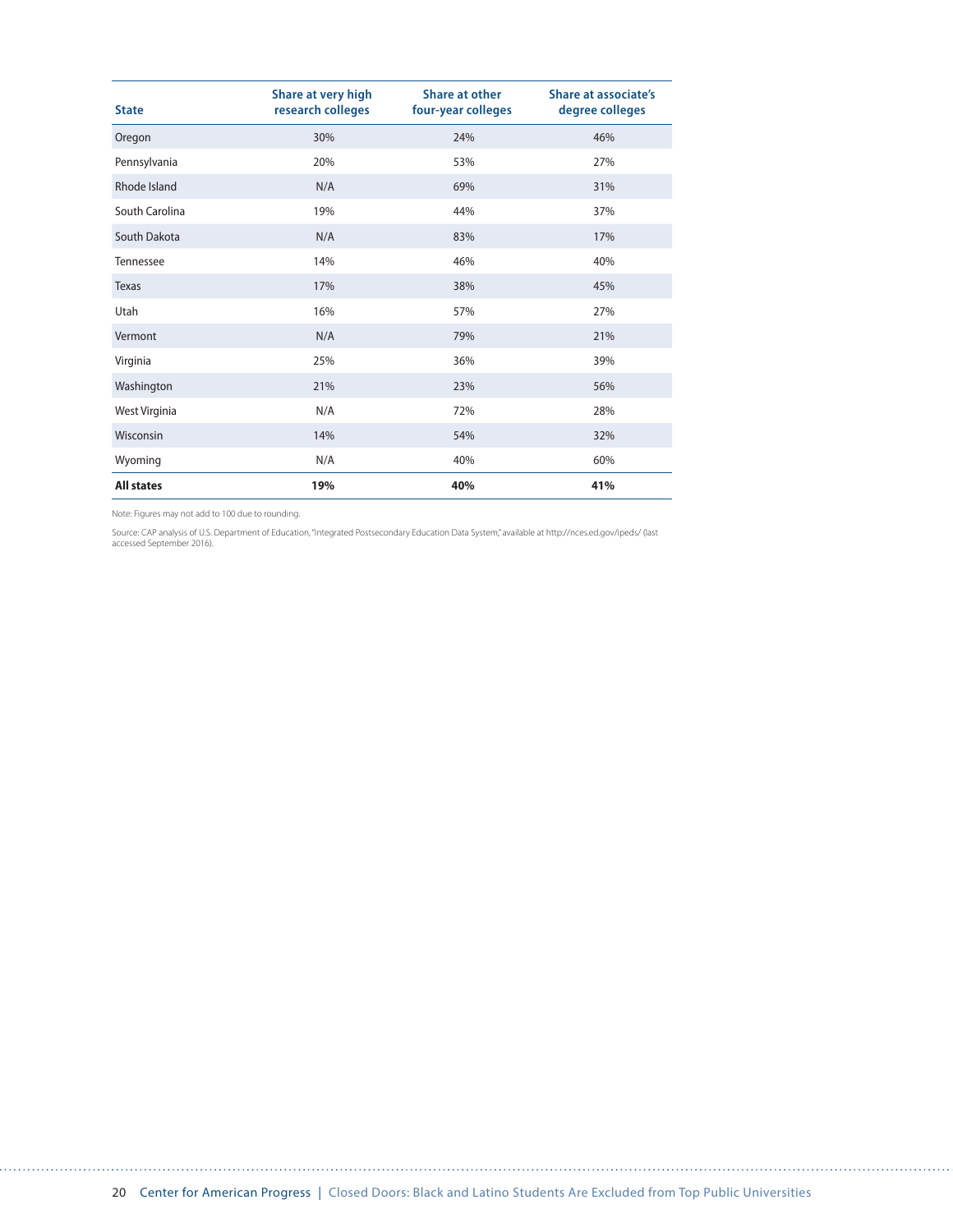| <b>State</b>      | Share at very high<br>research colleges | Share at other<br>four-year colleges | <b>Share at associate's</b><br>degree colleges |
|-------------------|-----------------------------------------|--------------------------------------|------------------------------------------------|
| Oregon            | 30%                                     | 24%                                  | 46%                                            |
| Pennsylvania      | 20%                                     | 53%                                  | 27%                                            |
| Rhode Island      | N/A                                     | 69%                                  | 31%                                            |
| South Carolina    | 19%                                     | 44%                                  | 37%                                            |
| South Dakota      | N/A                                     | 83%                                  | 17%                                            |
| Tennessee         | 14%                                     | 46%                                  | 40%                                            |
| Texas             | 17%                                     | 38%                                  | 45%                                            |
| Utah              | 16%                                     | 57%                                  | 27%                                            |
| Vermont           | N/A                                     | 79%                                  | 21%                                            |
| Virginia          | 25%                                     | 36%                                  | 39%                                            |
| Washington        | 21%                                     | 23%                                  | 56%                                            |
| West Virginia     | N/A                                     | 72%                                  | 28%                                            |
| Wisconsin         | 14%                                     | 54%                                  | 32%                                            |
| Wyoming           | N/A                                     | 40%                                  | 60%                                            |
| <b>All states</b> | 19%                                     | 40%                                  | 41%                                            |

Source: CAP analysis of U.S. Department of Education, "Integrated Postsecondary Education Data System," available at http://nces.ed.gov/ipeds/ (last<br>accessed September 2016).